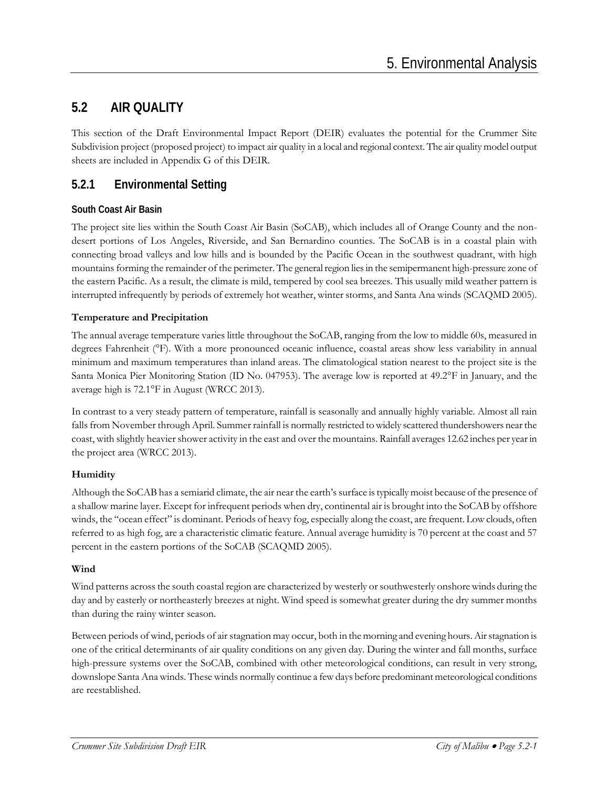# **5.2 AIR QUALITY**

This section of the Draft Environmental Impact Report (DEIR) evaluates the potential for the Crummer Site Subdivision project (proposed project) to impact air quality in a local and regional context. The air quality model output sheets are included in Appendix G of this DEIR.

### **5.2.1 Environmental Setting**

### **South Coast Air Basin**

The project site lies within the South Coast Air Basin (SoCAB), which includes all of Orange County and the nondesert portions of Los Angeles, Riverside, and San Bernardino counties. The SoCAB is in a coastal plain with connecting broad valleys and low hills and is bounded by the Pacific Ocean in the southwest quadrant, with high mountains forming the remainder of the perimeter. The general region lies in the semipermanent high-pressure zone of the eastern Pacific. As a result, the climate is mild, tempered by cool sea breezes. This usually mild weather pattern is interrupted infrequently by periods of extremely hot weather, winter storms, and Santa Ana winds (SCAQMD 2005).

### **Temperature and Precipitation**

The annual average temperature varies little throughout the SoCAB, ranging from the low to middle 60s, measured in degrees Fahrenheit (°F). With a more pronounced oceanic influence, coastal areas show less variability in annual minimum and maximum temperatures than inland areas. The climatological station nearest to the project site is the Santa Monica Pier Monitoring Station (ID No. 047953). The average low is reported at 49.2°F in January, and the average high is 72.1°F in August (WRCC 2013).

In contrast to a very steady pattern of temperature, rainfall is seasonally and annually highly variable. Almost all rain falls from November through April. Summer rainfall is normally restricted to widely scattered thundershowers near the coast, with slightly heavier shower activity in the east and over the mountains. Rainfall averages 12.62 inches per year in the project area (WRCC 2013).

### **Humidity**

Although the SoCAB has a semiarid climate, the air near the earth's surface is typically moist because of the presence of a shallow marine layer. Except for infrequent periods when dry, continental air is brought into the SoCAB by offshore winds, the "ocean effect" is dominant. Periods of heavy fog, especially along the coast, are frequent. Low clouds, often referred to as high fog, are a characteristic climatic feature. Annual average humidity is 70 percent at the coast and 57 percent in the eastern portions of the SoCAB (SCAQMD 2005).

### **Wind**

Wind patterns across the south coastal region are characterized by westerly or southwesterly onshore winds during the day and by easterly or northeasterly breezes at night. Wind speed is somewhat greater during the dry summer months than during the rainy winter season.

Between periods of wind, periods of air stagnation may occur, both in the morning and evening hours. Air stagnation is one of the critical determinants of air quality conditions on any given day. During the winter and fall months, surface high-pressure systems over the SoCAB, combined with other meteorological conditions, can result in very strong, downslope Santa Ana winds. These winds normally continue a few days before predominant meteorological conditions are reestablished.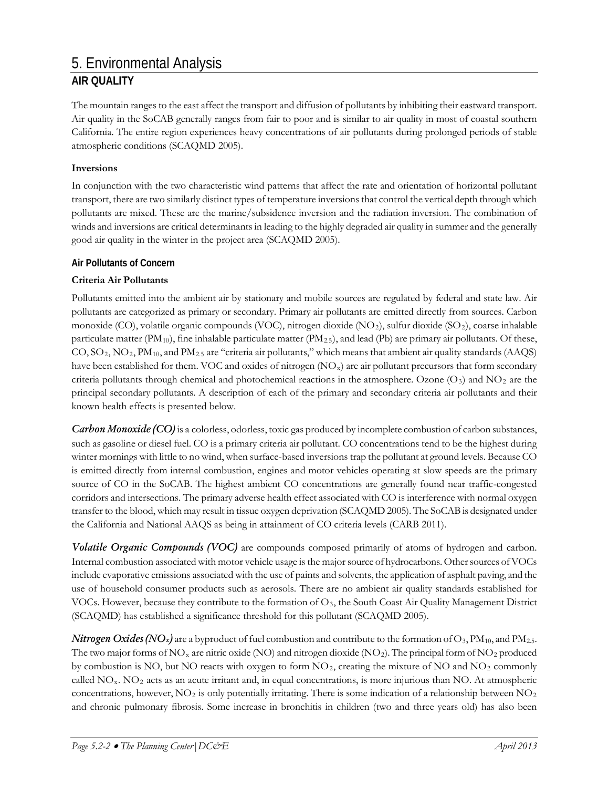The mountain ranges to the east affect the transport and diffusion of pollutants by inhibiting their eastward transport. Air quality in the SoCAB generally ranges from fair to poor and is similar to air quality in most of coastal southern California. The entire region experiences heavy concentrations of air pollutants during prolonged periods of stable atmospheric conditions (SCAQMD 2005).

#### **Inversions**

In conjunction with the two characteristic wind patterns that affect the rate and orientation of horizontal pollutant transport, there are two similarly distinct types of temperature inversions that control the vertical depth through which pollutants are mixed. These are the marine/subsidence inversion and the radiation inversion. The combination of winds and inversions are critical determinants in leading to the highly degraded air quality in summer and the generally good air quality in the winter in the project area (SCAQMD 2005).

#### **Air Pollutants of Concern**

#### **Criteria Air Pollutants**

Pollutants emitted into the ambient air by stationary and mobile sources are regulated by federal and state law. Air pollutants are categorized as primary or secondary. Primary air pollutants are emitted directly from sources. Carbon monoxide (CO), volatile organic compounds (VOC), nitrogen dioxide (NO2), sulfur dioxide (SO2), coarse inhalable particulate matter ( $\text{PM}_{10}$ ), fine inhalable particulate matter ( $\text{PM}_{2.5}$ ), and lead ( $\text{Pb}$ ) are primary air pollutants. Of these, CO, SO2, NO2, PM10, and PM2.5 are "criteria air pollutants," which means that ambient air quality standards (AAQS) have been established for them. VOC and oxides of nitrogen  $(NO<sub>x</sub>)$  are air pollutant precursors that form secondary criteria pollutants through chemical and photochemical reactions in the atmosphere. Ozone  $(O_3)$  and  $NO_2$  are the principal secondary pollutants. A description of each of the primary and secondary criteria air pollutants and their known health effects is presented below.

*Carbon Monoxide (CO)* is a colorless, odorless, toxic gas produced by incomplete combustion of carbon substances, such as gasoline or diesel fuel. CO is a primary criteria air pollutant. CO concentrations tend to be the highest during winter mornings with little to no wind, when surface-based inversions trap the pollutant at ground levels. Because CO is emitted directly from internal combustion, engines and motor vehicles operating at slow speeds are the primary source of CO in the SoCAB. The highest ambient CO concentrations are generally found near traffic-congested corridors and intersections. The primary adverse health effect associated with CO is interference with normal oxygen transfer to the blood, which may result in tissue oxygen deprivation (SCAQMD 2005). The SoCAB is designated under the California and National AAQS as being in attainment of CO criteria levels (CARB 2011).

*Volatile Organic Compounds (VOC)* are compounds composed primarily of atoms of hydrogen and carbon. Internal combustion associated with motor vehicle usage is the major source of hydrocarbons. Other sources of VOCs include evaporative emissions associated with the use of paints and solvents, the application of asphalt paving, and the use of household consumer products such as aerosols. There are no ambient air quality standards established for VOCs. However, because they contribute to the formation of O3, the South Coast Air Quality Management District (SCAQMD) has established a significance threshold for this pollutant (SCAQMD 2005).

*Nitrogen Oxides (NO<sub>x</sub>)* are a byproduct of fuel combustion and contribute to the formation of O<sub>3</sub>, PM<sub>10</sub>, and PM<sub>2.5</sub>. The two major forms of  $NO_x$  are nitric oxide (NO) and nitrogen dioxide (NO<sub>2</sub>). The principal form of NO<sub>2</sub> produced by combustion is NO, but NO reacts with oxygen to form NO2, creating the mixture of NO and NO2 commonly called  $NO<sub>x</sub>$ .  $NO<sub>2</sub>$  acts as an acute irritant and, in equal concentrations, is more injurious than NO. At atmospheric concentrations, however,  $NO<sub>2</sub>$  is only potentially irritating. There is some indication of a relationship between  $NO<sub>2</sub>$ and chronic pulmonary fibrosis. Some increase in bronchitis in children (two and three years old) has also been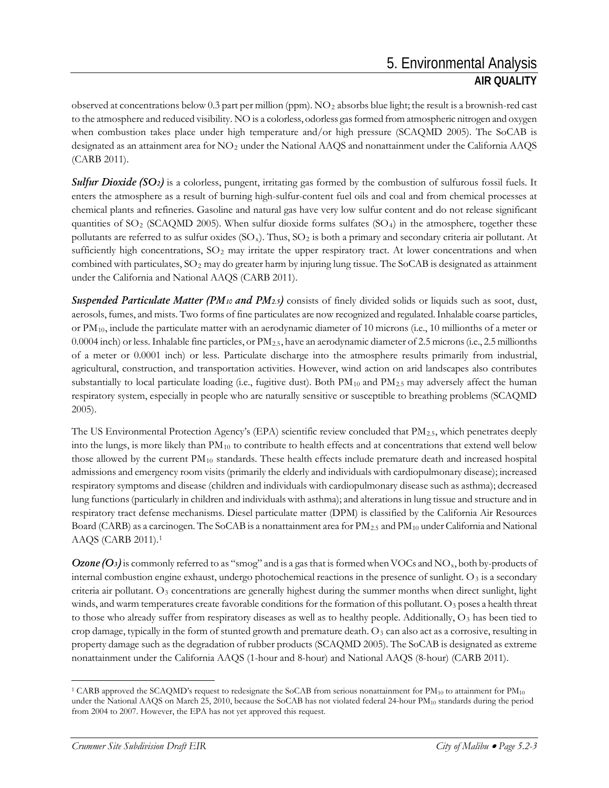observed at concentrations below 0.3 part per million (ppm).  $NO<sub>2</sub>$  absorbs blue light; the result is a brownish-red cast to the atmosphere and reduced visibility. NO is a colorless, odorless gas formed from atmospheric nitrogen and oxygen when combustion takes place under high temperature and/or high pressure (SCAQMD 2005). The SoCAB is designated as an attainment area for NO2 under the National AAQS and nonattainment under the California AAQS (CARB 2011).

*Sulfur Dioxide* (SO<sub>2</sub>) is a colorless, pungent, irritating gas formed by the combustion of sulfurous fossil fuels. It enters the atmosphere as a result of burning high-sulfur-content fuel oils and coal and from chemical processes at chemical plants and refineries. Gasoline and natural gas have very low sulfur content and do not release significant quantities of  $SO_2$  (SCAQMD 2005). When sulfur dioxide forms sulfates (SO<sub>4</sub>) in the atmosphere, together these pollutants are referred to as sulfur oxides  $(SO<sub>x</sub>)$ . Thus,  $SO<sub>2</sub>$  is both a primary and secondary criteria air pollutant. At sufficiently high concentrations,  $SO_2$  may irritate the upper respiratory tract. At lower concentrations and when combined with particulates,  $SO_2$  may do greater harm by injuring lung tissue. The SoCAB is designated as attainment under the California and National AAQS (CARB 2011).

*Suspended Particulate Matter (PM10 and PM2.5)* consists of finely divided solids or liquids such as soot, dust, aerosols, fumes, and mists. Two forms of fine particulates are now recognized and regulated. Inhalable coarse particles, or  $PM_{10}$ , include the particulate matter with an aerodynamic diameter of 10 microns (i.e., 10 millionths of a meter or 0.0004 inch) or less. Inhalable fine particles, or  $PM_{2.5}$ , have an aerodynamic diameter of 2.5 microns (i.e., 2.5 millionths of a meter or 0.0001 inch) or less. Particulate discharge into the atmosphere results primarily from industrial, agricultural, construction, and transportation activities. However, wind action on arid landscapes also contributes substantially to local particulate loading (i.e., fugitive dust). Both  $PM_{10}$  and  $PM_{2.5}$  may adversely affect the human respiratory system, especially in people who are naturally sensitive or susceptible to breathing problems (SCAQMD 2005).

The US Environmental Protection Agency's (EPA) scientific review concluded that PM2.5, which penetrates deeply into the lungs, is more likely than  $PM_{10}$  to contribute to health effects and at concentrations that extend well below those allowed by the current PM<sub>10</sub> standards. These health effects include premature death and increased hospital admissions and emergency room visits (primarily the elderly and individuals with cardiopulmonary disease); increased respiratory symptoms and disease (children and individuals with cardiopulmonary disease such as asthma); decreased lung functions (particularly in children and individuals with asthma); and alterations in lung tissue and structure and in respiratory tract defense mechanisms. Diesel particulate matter (DPM) is classified by the California Air Resources Board (CARB) as a carcinogen. The SoCAB is a nonattainment area for PM<sub>2.5</sub> and PM<sub>10</sub> under California and National AAQS (CARB 2011).[1](#page-2-0)

*Ozone (O3)* is commonly referred to as "smog" and is a gas that is formed when VOCs and NO<sub>x</sub>, both by-products of internal combustion engine exhaust, undergo photochemical reactions in the presence of sunlight. O<sub>3</sub> is a secondary criteria air pollutant. O<sub>3</sub> concentrations are generally highest during the summer months when direct sunlight, light winds, and warm temperatures create favorable conditions for the formation of this pollutant. O<sub>3</sub> poses a health threat to those who already suffer from respiratory diseases as well as to healthy people. Additionally, O<sub>3</sub> has been tied to crop damage, typically in the form of stunted growth and premature death.  $O<sub>3</sub>$  can also act as a corrosive, resulting in property damage such as the degradation of rubber products (SCAQMD 2005). The SoCAB is designated as extreme nonattainment under the California AAQS (1-hour and 8-hour) and National AAQS (8-hour) (CARB 2011).

<span id="page-2-0"></span><sup>&</sup>lt;sup>1</sup> CARB approved the SCAQMD's request to redesignate the SoCAB from serious nonattainment for  $PM_{10}$  to attainment for  $PM_{10}$ under the National AAQS on March 25, 2010, because the SoCAB has not violated federal 24-hour PM<sub>10</sub> standards during the period from 2004 to 2007. However, the EPA has not yet approved this request.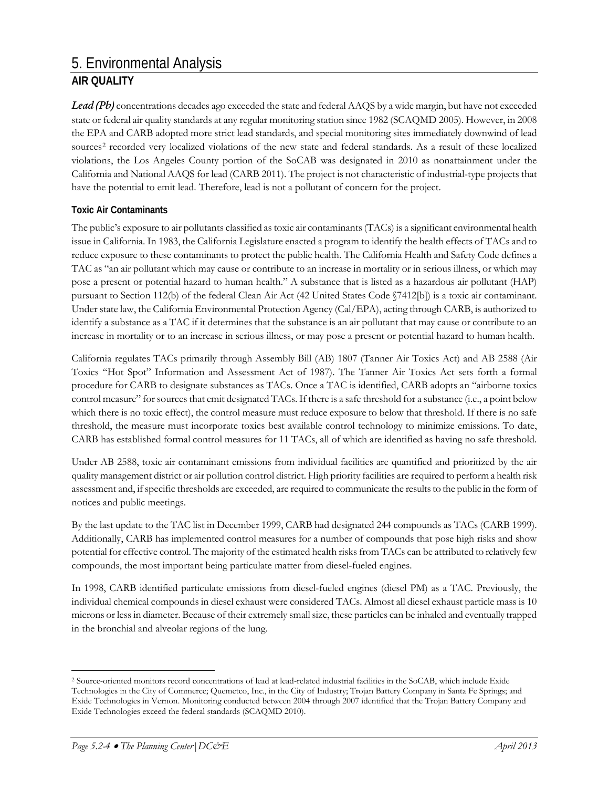*Lead (Pb)* concentrations decades ago exceeded the state and federal AAQS by a wide margin, but have not exceeded state or federal air quality standards at any regular monitoring station since 1982 (SCAQMD 2005). However, in 2008 the EPA and CARB adopted more strict lead standards, and special monitoring sites immediately downwind of lead sources<sup>[2](#page-3-0)</sup> recorded very localized violations of the new state and federal standards. As a result of these localized violations, the Los Angeles County portion of the SoCAB was designated in 2010 as nonattainment under the California and National AAQS for lead (CARB 2011). The project is not characteristic of industrial-type projects that have the potential to emit lead. Therefore, lead is not a pollutant of concern for the project.

### **Toxic Air Contaminants**

The public's exposure to air pollutants classified as toxic air contaminants (TACs) is a significant environmental health issue in California. In 1983, the California Legislature enacted a program to identify the health effects of TACs and to reduce exposure to these contaminants to protect the public health. The California Health and Safety Code defines a TAC as "an air pollutant which may cause or contribute to an increase in mortality or in serious illness, or which may pose a present or potential hazard to human health." A substance that is listed as a hazardous air pollutant (HAP) pursuant to Section 112(b) of the federal Clean Air Act (42 United States Code §7412[b]) is a toxic air contaminant. Under state law, the California Environmental Protection Agency (Cal/EPA), acting through CARB, is authorized to identify a substance as a TAC if it determines that the substance is an air pollutant that may cause or contribute to an increase in mortality or to an increase in serious illness, or may pose a present or potential hazard to human health.

California regulates TACs primarily through Assembly Bill (AB) 1807 (Tanner Air Toxics Act) and AB 2588 (Air Toxics "Hot Spot" Information and Assessment Act of 1987). The Tanner Air Toxics Act sets forth a formal procedure for CARB to designate substances as TACs. Once a TAC is identified, CARB adopts an "airborne toxics control measure" for sources that emit designated TACs. If there is a safe threshold for a substance (i.e., a point below which there is no toxic effect), the control measure must reduce exposure to below that threshold. If there is no safe threshold, the measure must incorporate toxics best available control technology to minimize emissions. To date, CARB has established formal control measures for 11 TACs, all of which are identified as having no safe threshold.

Under AB 2588, toxic air contaminant emissions from individual facilities are quantified and prioritized by the air quality management district or air pollution control district. High priority facilities are required to perform a health risk assessment and, if specific thresholds are exceeded, are required to communicate the results to the public in the form of notices and public meetings.

By the last update to the TAC list in December 1999, CARB had designated 244 compounds as TACs (CARB 1999). Additionally, CARB has implemented control measures for a number of compounds that pose high risks and show potential for effective control. The majority of the estimated health risks from TACs can be attributed to relatively few compounds, the most important being particulate matter from diesel-fueled engines.

In 1998, CARB identified particulate emissions from diesel-fueled engines (diesel PM) as a TAC. Previously, the individual chemical compounds in diesel exhaust were considered TACs. Almost all diesel exhaust particle mass is 10 microns or less in diameter. Because of their extremely small size, these particles can be inhaled and eventually trapped in the bronchial and alveolar regions of the lung.

<span id="page-3-0"></span> <sup>2</sup> Source-oriented monitors record concentrations of lead at lead-related industrial facilities in the SoCAB, which include Exide Technologies in the City of Commerce; Quemetco, Inc., in the City of Industry; Trojan Battery Company in Santa Fe Springs; and Exide Technologies in Vernon. Monitoring conducted between 2004 through 2007 identified that the Trojan Battery Company and Exide Technologies exceed the federal standards (SCAQMD 2010).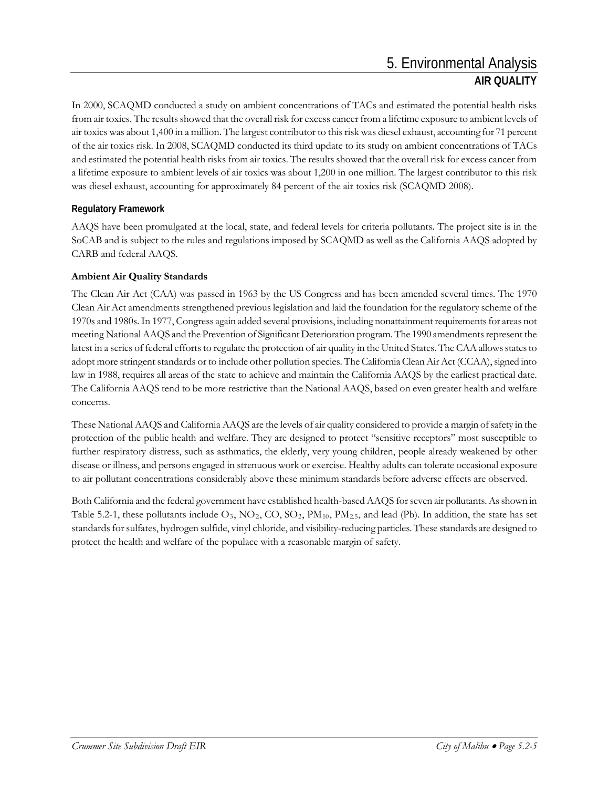In 2000, SCAQMD conducted a study on ambient concentrations of TACs and estimated the potential health risks from air toxics. The results showed that the overall risk for excess cancer from a lifetime exposure to ambient levels of air toxics was about 1,400 in a million. The largest contributor to this risk was diesel exhaust, accounting for 71 percent of the air toxics risk. In 2008, SCAQMD conducted its third update to its study on ambient concentrations of TACs and estimated the potential health risks from air toxics. The results showed that the overall risk for excess cancer from a lifetime exposure to ambient levels of air toxics was about 1,200 in one million. The largest contributor to this risk was diesel exhaust, accounting for approximately 84 percent of the air toxics risk (SCAQMD 2008).

### **Regulatory Framework**

AAQS have been promulgated at the local, state, and federal levels for criteria pollutants. The project site is in the SoCAB and is subject to the rules and regulations imposed by SCAQMD as well as the California AAQS adopted by CARB and federal AAQS.

### **Ambient Air Quality Standards**

The Clean Air Act (CAA) was passed in 1963 by the US Congress and has been amended several times. The 1970 Clean Air Act amendments strengthened previous legislation and laid the foundation for the regulatory scheme of the 1970s and 1980s. In 1977, Congress again added several provisions, including nonattainment requirements for areas not meeting National AAQS and the Prevention of Significant Deterioration program. The 1990 amendments represent the latest in a series of federal efforts to regulate the protection of air quality in the United States. The CAA allows states to adopt more stringent standards or to include other pollution species. The California Clean Air Act (CCAA), signed into law in 1988, requires all areas of the state to achieve and maintain the California AAQS by the earliest practical date. The California AAQS tend to be more restrictive than the National AAQS, based on even greater health and welfare concerns.

These National AAQS and California AAQS are the levels of air quality considered to provide a margin of safety in the protection of the public health and welfare. They are designed to protect "sensitive receptors" most susceptible to further respiratory distress, such as asthmatics, the elderly, very young children, people already weakened by other disease or illness, and persons engaged in strenuous work or exercise. Healthy adults can tolerate occasional exposure to air pollutant concentrations considerably above these minimum standards before adverse effects are observed.

Both California and the federal government have established health-based AAQS for seven air pollutants. As shown in Table 5.2-1, these pollutants include  $O_3$ ,  $NO_2$ ,  $CO$ ,  $SO_2$ ,  $PM_{10}$ ,  $PM_{2.5}$ , and lead (Pb). In addition, the state has set standards for sulfates, hydrogen sulfide, vinyl chloride, and visibility-reducing particles. These standards are designed to protect the health and welfare of the populace with a reasonable margin of safety.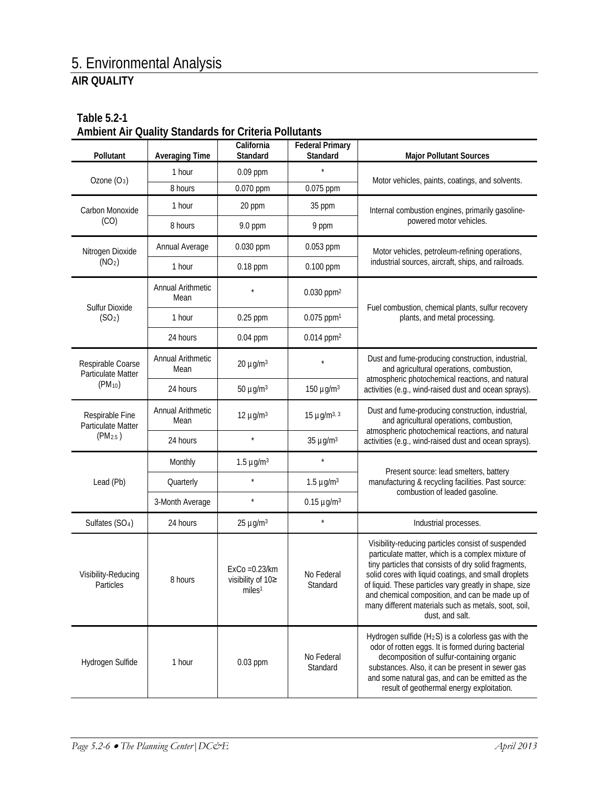|                                         |                           | <b>Didition as for Unional Undianity</b>                    |                                    |                                                                                                                                                                                                                                                                                                                                                                                                                 |
|-----------------------------------------|---------------------------|-------------------------------------------------------------|------------------------------------|-----------------------------------------------------------------------------------------------------------------------------------------------------------------------------------------------------------------------------------------------------------------------------------------------------------------------------------------------------------------------------------------------------------------|
| Pollutant                               | <b>Averaging Time</b>     | California<br>Standard                                      | <b>Federal Primary</b><br>Standard | <b>Major Pollutant Sources</b>                                                                                                                                                                                                                                                                                                                                                                                  |
| Ozone $(O_3)$                           | 1 hour                    | 0.09 ppm                                                    | $\star$                            |                                                                                                                                                                                                                                                                                                                                                                                                                 |
|                                         | 8 hours                   | 0.070 ppm                                                   | 0.075 ppm                          | Motor vehicles, paints, coatings, and solvents.                                                                                                                                                                                                                                                                                                                                                                 |
| Carbon Monoxide<br>(CO)                 | 1 hour                    | 20 ppm                                                      | 35 ppm                             | Internal combustion engines, primarily gasoline-                                                                                                                                                                                                                                                                                                                                                                |
|                                         | 8 hours                   | 9.0 ppm                                                     | 9 ppm                              | powered motor vehicles.                                                                                                                                                                                                                                                                                                                                                                                         |
| Nitrogen Dioxide                        | Annual Average            | 0.030 ppm                                                   | 0.053 ppm                          | Motor vehicles, petroleum-refining operations,                                                                                                                                                                                                                                                                                                                                                                  |
| (NO <sub>2</sub> )                      | 1 hour                    | 0.18 ppm                                                    | 0.100 ppm                          | industrial sources, aircraft, ships, and railroads.                                                                                                                                                                                                                                                                                                                                                             |
| Sulfur Dioxide                          | Annual Arithmetic<br>Mean |                                                             | $0.030$ ppm <sup>2</sup>           |                                                                                                                                                                                                                                                                                                                                                                                                                 |
| (SO <sub>2</sub> )                      | 1 hour                    | 0.25 ppm                                                    | $0.075$ ppm <sup>1</sup>           | Fuel combustion, chemical plants, sulfur recovery<br>plants, and metal processing.                                                                                                                                                                                                                                                                                                                              |
|                                         | 24 hours                  | $0.04$ ppm                                                  | $0.014$ ppm <sup>2</sup>           |                                                                                                                                                                                                                                                                                                                                                                                                                 |
| Respirable Coarse<br>Particulate Matter | Annual Arithmetic<br>Mean | $20 \mu g/m^3$                                              |                                    | Dust and fume-producing construction, industrial,<br>and agricultural operations, combustion,                                                                                                                                                                                                                                                                                                                   |
| $(PM_{10})$                             | 24 hours                  | 50 $\mu$ g/m <sup>3</sup>                                   | 150 $\mu$ g/m <sup>3</sup>         | atmospheric photochemical reactions, and natural<br>activities (e.g., wind-raised dust and ocean sprays).                                                                                                                                                                                                                                                                                                       |
| Respirable Fine<br>Particulate Matter   | Annual Arithmetic<br>Mean | 12 $\mu$ g/m <sup>3</sup>                                   | 15 $\mu$ g/m <sup>3, 3</sup>       | Dust and fume-producing construction, industrial,<br>and agricultural operations, combustion,                                                                                                                                                                                                                                                                                                                   |
| (PM <sub>2.5</sub> )                    | 24 hours                  | $\star$                                                     | $35 \mu g/m^3$                     | atmospheric photochemical reactions, and natural<br>activities (e.g., wind-raised dust and ocean sprays).                                                                                                                                                                                                                                                                                                       |
|                                         | Monthly                   | $1.5 \mu g/m3$                                              |                                    |                                                                                                                                                                                                                                                                                                                                                                                                                 |
| Lead (Pb)                               | Quarterly                 | $\star$                                                     | $1.5 \mu g/m3$                     | Present source: lead smelters, battery<br>manufacturing & recycling facilities. Past source:                                                                                                                                                                                                                                                                                                                    |
|                                         | 3-Month Average           | $\star$                                                     | $0.15 \mu g/m^3$                   | combustion of leaded gasoline.                                                                                                                                                                                                                                                                                                                                                                                  |
| Sulfates (SO <sub>4</sub> )             | 24 hours                  | $25 \mu g/m^3$                                              |                                    | Industrial processes.                                                                                                                                                                                                                                                                                                                                                                                           |
| Visibility-Reducing<br>Particles        | 8 hours                   | $ExCo = 0.23/km$<br>visibility of 10≥<br>miles <sup>1</sup> | No Federal<br>Standard             | Visibility-reducing particles consist of suspended<br>particulate matter, which is a complex mixture of<br>tiny particles that consists of dry solid fragments,<br>solid cores with liquid coatings, and small droplets<br>of liquid. These particles vary greatly in shape, size<br>and chemical composition, and can be made up of<br>many different materials such as metals, soot, soil,<br>dust, and salt. |
| Hydrogen Sulfide                        | 1 hour                    | 0.03 ppm                                                    | No Federal<br>Standard             | Hydrogen sulfide (H <sub>2</sub> S) is a colorless gas with the<br>odor of rotten eggs. It is formed during bacterial<br>decomposition of sulfur-containing organic<br>substances. Also, it can be present in sewer gas<br>and some natural gas, and can be emitted as the<br>result of geothermal energy exploitation.                                                                                         |

### **Table 5.2-1 Ambient Air Quality Standards for Criteria Pollutants**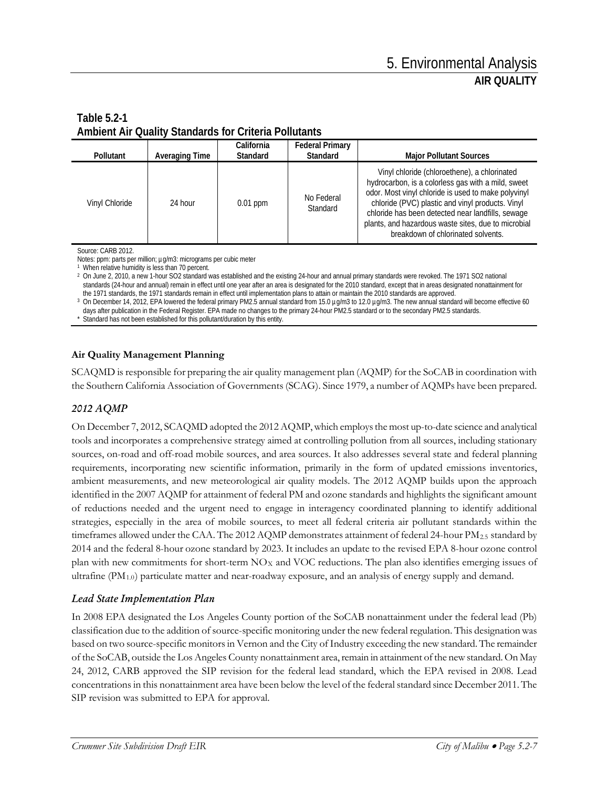### **Table 5.2-1 Ambient Air Quality Standards for Criteria Pollutants**

| Pollutant      | Averaging Time | California<br>Standard | <b>Federal Primary</b><br>Standard | <b>Major Pollutant Sources</b>                                                                                                                                                                                                                                                                                                                                  |
|----------------|----------------|------------------------|------------------------------------|-----------------------------------------------------------------------------------------------------------------------------------------------------------------------------------------------------------------------------------------------------------------------------------------------------------------------------------------------------------------|
| Vinyl Chloride | 24 hour        | $0.01$ ppm             | No Federal<br>Standard             | Vinyl chloride (chloroethene), a chlorinated<br>hydrocarbon, is a colorless gas with a mild, sweet<br>odor. Most vinyl chloride is used to make polyvinyl<br>chloride (PVC) plastic and vinyl products. Vinyl<br>chloride has been detected near landfills, sewage<br>plants, and hazardous waste sites, due to microbial<br>breakdown of chlorinated solvents. |

Source: CARB 2012.

Notes: ppm: parts per million; µg/m3: micrograms per cubic meter

<sup>1</sup> When relative humidity is less than 70 percent.

<sup>2</sup> On June 2, 2010, a new 1-hour SO2 standard was established and the existing 24-hour and annual primary standards were revoked. The 1971 SO2 national standards (24-hour and annual) remain in effect until one year after an area is designated for the 2010 standard, except that in areas designated nonattainment for the 1971 standards, the 1971 standards remain in effect until implementation plans to attain or maintain the 2010 standards are approved.

<sup>3</sup> On December 14, 2012, EPA lowered the federal primary PM2.5 annual standard from 15.0 µg/m3 to 12.0 µg/m3. The new annual standard will become effective 60 days after publication in the Federal Register. EPA made no changes to the primary 24-hour PM2.5 standard or to the secondary PM2.5 standards.

\* Standard has not been established for this pollutant/duration by this entity.

#### **Air Quality Management Planning**

SCAQMD is responsible for preparing the air quality management plan (AQMP) for the SoCAB in coordination with the Southern California Association of Governments (SCAG). Since 1979, a number of AQMPs have been prepared.

### *2012 AQMP*

On December 7, 2012, SCAQMD adopted the 2012 AQMP, which employs the most up-to-date science and analytical tools and incorporates a comprehensive strategy aimed at controlling pollution from all sources, including stationary sources, on-road and off-road mobile sources, and area sources. It also addresses several state and federal planning requirements, incorporating new scientific information, primarily in the form of updated emissions inventories, ambient measurements, and new meteorological air quality models. The 2012 AQMP builds upon the approach identified in the 2007 AQMP for attainment of federal PM and ozone standards and highlights the significant amount of reductions needed and the urgent need to engage in interagency coordinated planning to identify additional strategies, especially in the area of mobile sources, to meet all federal criteria air pollutant standards within the timeframes allowed under the CAA. The 2012 AQMP demonstrates attainment of federal 24-hour PM<sub>2.5</sub> standard by 2014 and the federal 8-hour ozone standard by 2023. It includes an update to the revised EPA 8-hour ozone control plan with new commitments for short-term  $NO<sub>X</sub>$  and VOC reductions. The plan also identifies emerging issues of ultrafine (PM1.0) particulate matter and near-roadway exposure, and an analysis of energy supply and demand.

### *Lead State Implementation Plan*

In 2008 EPA designated the Los Angeles County portion of the SoCAB nonattainment under the federal lead (Pb) classification due to the addition of source-specific monitoring under the new federal regulation. This designation was based on two source-specific monitors in Vernon and the City of Industry exceeding the new standard. The remainder of the SoCAB, outside the Los Angeles County nonattainment area, remain in attainment of the new standard. On May 24, 2012, CARB approved the SIP revision for the federal lead standard, which the EPA revised in 2008. Lead concentrations in this nonattainment area have been below the level of the federal standard since December 2011. The SIP revision was submitted to EPA for approval.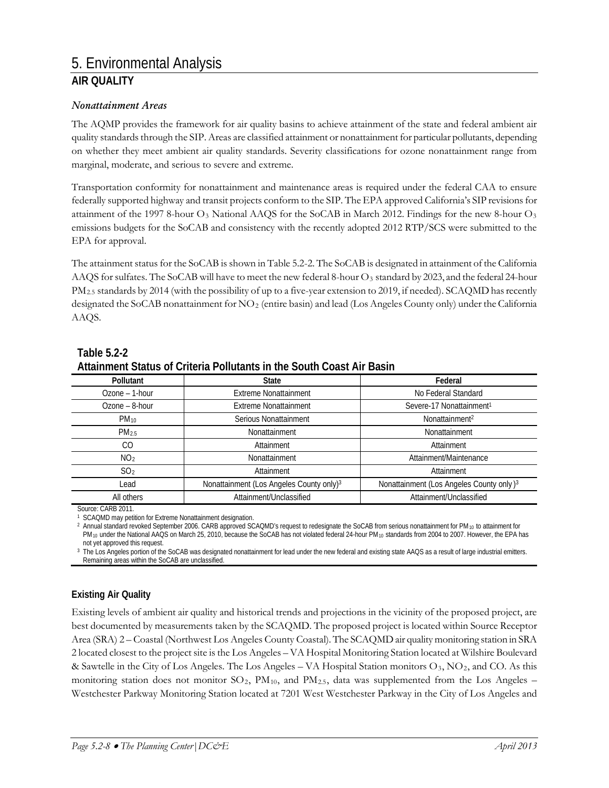#### *Nonattainment Areas*

The AQMP provides the framework for air quality basins to achieve attainment of the state and federal ambient air quality standards through the SIP. Areas are classified attainment or nonattainment for particular pollutants, depending on whether they meet ambient air quality standards. Severity classifications for ozone nonattainment range from marginal, moderate, and serious to severe and extreme.

Transportation conformity for nonattainment and maintenance areas is required under the federal CAA to ensure federally supported highway and transit projects conform to the SIP. The EPA approved California's SIP revisions for attainment of the 1997 8-hour  $O_3$  National AAQS for the SoCAB in March 2012. Findings for the new 8-hour  $O_3$ emissions budgets for the SoCAB and consistency with the recently adopted 2012 RTP/SCS were submitted to the EPA for approval.

The attainment status for the SoCAB is shown in Table 5.2-2. The SoCAB is designated in attainment of the California AAQS for sulfates. The SoCAB will have to meet the new federal 8-hour  $O_3$  standard by 2023, and the federal 24-hour PM<sub>2.5</sub> standards by 2014 (with the possibility of up to a five-year extension to 2019, if needed). SCAQMD has recently designated the SoCAB nonattainment for NO2 (entire basin) and lead (Los Angeles County only) under the California AAQS.

| Pollutant        | <b>State</b>                                         | Federal                                              |
|------------------|------------------------------------------------------|------------------------------------------------------|
| Ozone - 1-hour   | <b>Extreme Nonattainment</b>                         | No Federal Standard                                  |
| Ozone - 8-hour   | <b>Extreme Nonattainment</b>                         | Severe-17 Nonattainment <sup>1</sup>                 |
| $PM_{10}$        | Serious Nonattainment                                | Nonattainment <sup>2</sup>                           |
| PM <sub>25</sub> | Nonattainment                                        | Nonattainment                                        |
| CO               | Attainment                                           | Attainment                                           |
| NO <sub>2</sub>  | Nonattainment                                        | Attainment/Maintenance                               |
| SO <sub>2</sub>  | Attainment                                           | Attainment                                           |
| Lead             | Nonattainment (Los Angeles County only) <sup>3</sup> | Nonattainment (Los Angeles County only) <sup>3</sup> |
| All others       | Attainment/Unclassified                              | Attainment/Unclassified                              |

### **Table 5.2-2**

# **Attainment Status of Criteria Pollutants in the South Coast Air Basin**

Source: CARB 2011.

<sup>1</sup> SCAQMD may petition for Extreme Nonattainment designation.

<sup>2</sup> Annual standard revoked September 2006. CARB approved SCAQMD's request to redesignate the SoCAB from serious nonattainment for PM<sub>10</sub> to attainment for PM<sub>10</sub> under the National AAQS on March 25, 2010, because the SoCAB has not violated federal 24-hour PM<sub>10</sub> standards from 2004 to 2007. However, the EPA has not yet approved this request.

<sup>3</sup> The Los Angeles portion of the SoCAB was designated nonattainment for lead under the new federal and existing state AAQS as a result of large industrial emitters. Remaining areas within the SoCAB are unclassified.

### **Existing Air Quality**

Existing levels of ambient air quality and historical trends and projections in the vicinity of the proposed project, are best documented by measurements taken by the SCAQMD. The proposed project is located within Source Receptor Area (SRA) 2 – Coastal (Northwest Los Angeles County Coastal). The SCAQMD air quality monitoring station in SRA 2 located closest to the project site is the Los Angeles – VA Hospital Monitoring Station located at Wilshire Boulevard & Sawtelle in the City of Los Angeles. The Los Angeles – VA Hospital Station monitors O3, NO2, and CO. As this monitoring station does not monitor  $SO_2$ ,  $PM_{10}$ , and  $PM_{2.5}$ , data was supplemented from the Los Angeles – Westchester Parkway Monitoring Station located at 7201 West Westchester Parkway in the City of Los Angeles and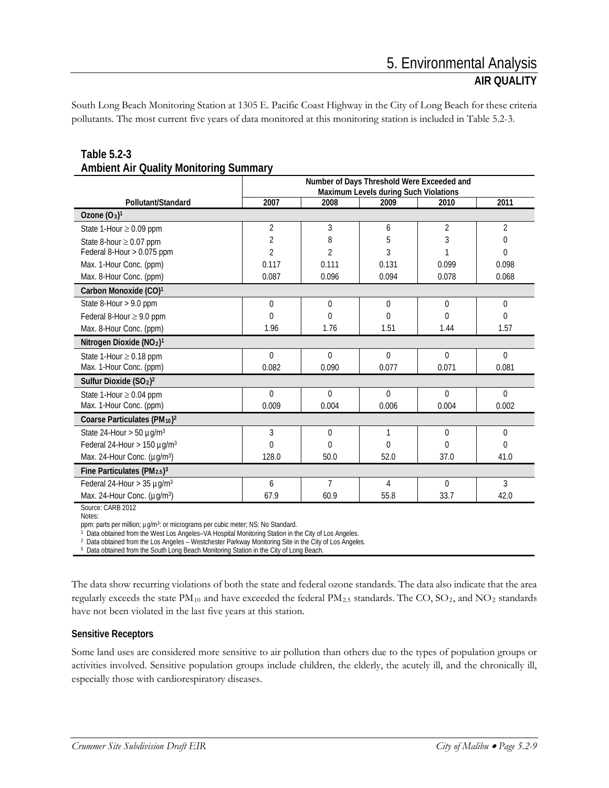South Long Beach Monitoring Station at 1305 E. Pacific Coast Highway in the City of Long Beach for these criteria pollutants. The most current five years of data monitored at this monitoring station is included in Table 5.2-3.

|                                                  | Number of Days Threshold Were Exceeded and<br>Maximum Levels during Such Violations |                |          |          |                |  |
|--------------------------------------------------|-------------------------------------------------------------------------------------|----------------|----------|----------|----------------|--|
| Pollutant/Standard                               | 2007                                                                                | 2008           | 2009     | 2010     | 2011           |  |
| Ozone $(O_3)^1$                                  |                                                                                     |                |          |          |                |  |
| State 1-Hour $\geq$ 0.09 ppm                     | 2                                                                                   | 3              | 6        | 2        | $\overline{2}$ |  |
| State 8-hour $\geq$ 0.07 ppm                     | 2                                                                                   | 8              | 5        | 3        | 0              |  |
| Federal 8-Hour > 0.075 ppm                       | $\overline{2}$                                                                      | $\mathfrak{D}$ | 3        |          | 0              |  |
| Max. 1-Hour Conc. (ppm)                          | 0.117                                                                               | 0.111          | 0.131    | 0.099    | 0.098          |  |
| Max. 8-Hour Conc. (ppm)                          | 0.087                                                                               | 0.096          | 0.094    | 0.078    | 0.068          |  |
| Carbon Monoxide (CO) <sup>1</sup>                |                                                                                     |                |          |          |                |  |
| State 8-Hour > 9.0 ppm                           | 0                                                                                   | $\theta$       | $\Omega$ | $\theta$ | $\mathbf 0$    |  |
| Federal 8-Hour $\geq$ 9.0 ppm                    | $\Omega$                                                                            | $\Omega$       | 0        | $\Omega$ | 0              |  |
| Max. 8-Hour Conc. (ppm)                          | 1.96                                                                                | 1.76           | 1.51     | 1.44     | 1.57           |  |
| Nitrogen Dioxide (NO <sub>2</sub> ) <sup>1</sup> |                                                                                     |                |          |          |                |  |
| State 1-Hour $\geq$ 0.18 ppm                     | $\theta$                                                                            | $\Omega$       | $\Omega$ | $\theta$ | $\Omega$       |  |
| Max. 1-Hour Conc. (ppm)                          | 0.082                                                                               | 0.090          | 0.077    | 0.071    | 0.081          |  |
| Sulfur Dioxide $(SO2)2$                          |                                                                                     |                |          |          |                |  |
| State 1-Hour $\geq$ 0.04 ppm                     | $\Omega$                                                                            | $\theta$       | $\Omega$ | $\theta$ | $\Omega$       |  |
| Max. 1-Hour Conc. (ppm)                          | 0.009                                                                               | 0.004          | 0.006    | 0.004    | 0.002          |  |
| Coarse Particulates (PM10) <sup>2</sup>          |                                                                                     |                |          |          |                |  |
| State 24-Hour $>$ 50 $\mu$ g/m <sup>3</sup>      | 3                                                                                   | $\theta$       |          | $\Omega$ | $\theta$       |  |
| Federal 24-Hour > 150 $\mu$ g/m <sup>3</sup>     | 0                                                                                   | 0              | 0        | $\Omega$ | $\Omega$       |  |
| Max. 24-Hour Conc. (µg/m <sup>3</sup> )          | 128.0                                                                               | 50.0           | 52.0     | 37.0     | 41.0           |  |
| Fine Particulates ( $PM_{2.5}$ ) <sup>3</sup>    |                                                                                     |                |          |          |                |  |
| Federal 24-Hour $>$ 35 µg/m <sup>3</sup>         | 6                                                                                   | $\overline{7}$ | 4        | $\Omega$ | 3              |  |
| Max. 24-Hour Conc. (µg/m <sup>3</sup> )          | 67.9                                                                                | 60.9           | 55.8     | 33.7     | 42.0           |  |

### **Table 5.2-3 Ambient Air Quality Monitoring Summary**

Source: CARB 2012

Notes:

ppm: parts per million; µg/m<sup>3</sup>: or micrograms per cubic meter; NS: No Standard.

Data obtained from the West Los Angeles-VA Hospital Monitoring Station in the City of Los Angeles.

<sup>2</sup> Data obtained from the Los Angeles – Westchester Parkway Monitoring Site in the City of Los Angeles.

<sup>5</sup> Data obtained from the South Long Beach Monitoring Station in the City of Long Beach.

The data show recurring violations of both the state and federal ozone standards. The data also indicate that the area regularly exceeds the state  $PM_{10}$  and have exceeded the federal  $PM_{2.5}$  standards. The CO, SO<sub>2</sub>, and NO<sub>2</sub> standards have not been violated in the last five years at this station.

### **Sensitive Receptors**

Some land uses are considered more sensitive to air pollution than others due to the types of population groups or activities involved. Sensitive population groups include children, the elderly, the acutely ill, and the chronically ill, especially those with cardiorespiratory diseases.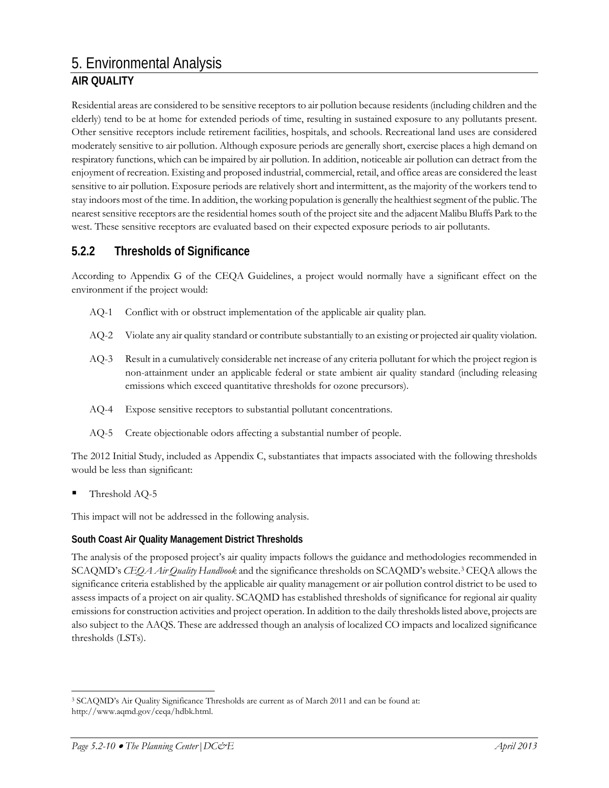Residential areas are considered to be sensitive receptors to air pollution because residents (including children and the elderly) tend to be at home for extended periods of time, resulting in sustained exposure to any pollutants present. Other sensitive receptors include retirement facilities, hospitals, and schools. Recreational land uses are considered moderately sensitive to air pollution. Although exposure periods are generally short, exercise places a high demand on respiratory functions, which can be impaired by air pollution. In addition, noticeable air pollution can detract from the enjoyment of recreation. Existing and proposed industrial, commercial, retail, and office areas are considered the least sensitive to air pollution. Exposure periods are relatively short and intermittent, as the majority of the workers tend to stay indoors most of the time. In addition, the working population is generally the healthiest segment of the public. The nearest sensitive receptors are the residential homes south of the project site and the adjacent Malibu Bluffs Park to the west. These sensitive receptors are evaluated based on their expected exposure periods to air pollutants.

# **5.2.2 Thresholds of Significance**

According to Appendix G of the CEQA Guidelines, a project would normally have a significant effect on the environment if the project would:

- AQ-1 Conflict with or obstruct implementation of the applicable air quality plan.
- AQ-2 Violate any air quality standard or contribute substantially to an existing or projected air quality violation.
- AQ-3 Result in a cumulatively considerable net increase of any criteria pollutant for which the project region is non-attainment under an applicable federal or state ambient air quality standard (including releasing emissions which exceed quantitative thresholds for ozone precursors).
- AQ-4 Expose sensitive receptors to substantial pollutant concentrations.
- AQ-5 Create objectionable odors affecting a substantial number of people.

The 2012 Initial Study, included as Appendix C, substantiates that impacts associated with the following thresholds would be less than significant:

Threshold AQ-5

This impact will not be addressed in the following analysis.

### **South Coast Air Quality Management District Thresholds**

The analysis of the proposed project's air quality impacts follows the guidance and methodologies recommended in SCAQMD's *CEQA Air Quality Handbook* and the significance thresholds on SCAQMD's website.[3](#page-9-0) CEQA allows the significance criteria established by the applicable air quality management or air pollution control district to be used to assess impacts of a project on air quality. SCAQMD has established thresholds of significance for regional air quality emissions for construction activities and project operation. In addition to the daily thresholds listed above, projects are also subject to the AAQS. These are addressed though an analysis of localized CO impacts and localized significance thresholds (LSTs).

<span id="page-9-0"></span> <sup>3</sup> SCAQMD's Air Quality Significance Thresholds are current as of March 2011 and can be found at: http://www.aqmd.gov/ceqa/hdbk.html.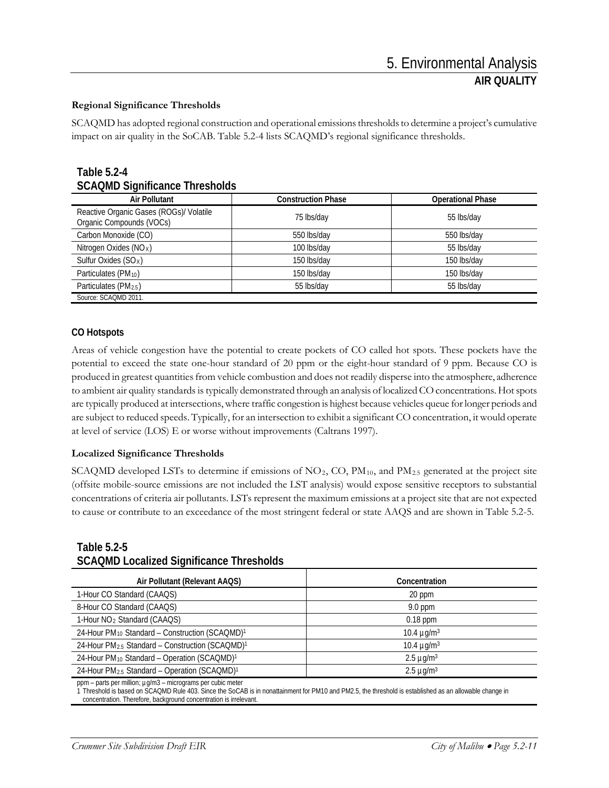### **Regional Significance Thresholds**

SCAQMD has adopted regional construction and operational emissions thresholds to determine a project's cumulative impact on air quality in the SoCAB. Table 5.2-4 lists SCAQMD's regional significance thresholds.

| <b>Table 5.2-4</b>                    |
|---------------------------------------|
| <b>SCAQMD Significance Thresholds</b> |

| <b>Air Pollutant</b>                                                | <b>Construction Phase</b> | <b>Operational Phase</b> |
|---------------------------------------------------------------------|---------------------------|--------------------------|
| Reactive Organic Gases (ROGs)/ Volatile<br>Organic Compounds (VOCs) | 75 lbs/day                | 55 lbs/day               |
| Carbon Monoxide (CO)                                                | 550 lbs/day               | 550 lbs/day              |
| Nitrogen Oxides (NO <sub>x</sub> )                                  | 100 lbs/day               | 55 lbs/day               |
| Sulfur Oxides $(SOX)$                                               | 150 lbs/day               | 150 lbs/day              |
| Particulates (PM <sub>10</sub> )                                    | 150 lbs/day               | 150 lbs/day              |
| Particulates (PM <sub>2.5</sub> )                                   | 55 lbs/day                | 55 lbs/day               |
| Source: SCAQMD 2011.                                                |                           |                          |

#### **CO Hotspots**

Areas of vehicle congestion have the potential to create pockets of CO called hot spots. These pockets have the potential to exceed the state one-hour standard of 20 ppm or the eight-hour standard of 9 ppm. Because CO is produced in greatest quantities from vehicle combustion and does not readily disperse into the atmosphere, adherence to ambient air quality standards is typically demonstrated through an analysis of localized CO concentrations. Hot spots are typically produced at intersections, where traffic congestion is highest because vehicles queue for longer periods and are subject to reduced speeds. Typically, for an intersection to exhibit a significant CO concentration, it would operate at level of service (LOS) E or worse without improvements (Caltrans 1997).

#### **Localized Significance Thresholds**

SCAQMD developed LSTs to determine if emissions of  $NO<sub>2</sub>$ , CO,  $PM<sub>10</sub>$ , and  $PM<sub>2.5</sub>$  generated at the project site (offsite mobile-source emissions are not included the LST analysis) would expose sensitive receptors to substantial concentrations of criteria air pollutants. LSTs represent the maximum emissions at a project site that are not expected to cause or contribute to an exceedance of the most stringent federal or state AAQS and are shown in Table 5.2-5.

#### **Table 5.2-5 SCAQMD Localized Significance Thresholds**

| Air Pollutant (Relevant AAQS)                                           | Concentration               |
|-------------------------------------------------------------------------|-----------------------------|
| 1-Hour CO Standard (CAAQS)                                              | 20 ppm                      |
| 8-Hour CO Standard (CAAQS)                                              | $9.0$ ppm                   |
| 1-Hour NO <sub>2</sub> Standard (CAAQS)                                 | $0.18$ ppm                  |
| 24-Hour PM <sub>10</sub> Standard - Construction (SCAQMD) <sup>1</sup>  | 10.4 $\mu$ g/m <sup>3</sup> |
| 24-Hour PM <sub>2.5</sub> Standard - Construction (SCAQMD) <sup>1</sup> | 10.4 $\mu q/m^3$            |
| 24-Hour PM <sub>10</sub> Standard - Operation (SCAQMD) <sup>1</sup>     | $2.5 \mu g/m3$              |
| 24-Hour PM <sub>2.5</sub> Standard - Operation (SCAQMD) <sup>1</sup>    | $2.5 \mu g/m3$              |

ppm – parts per million; µg/m3 – micrograms per cubic meter

1 Threshold is based on SCAQMD Rule 403. Since the SoCAB is in nonattainment for PM10 and PM2.5, the threshold is established as an allowable change in concentration. Therefore, background concentration is irrelevant.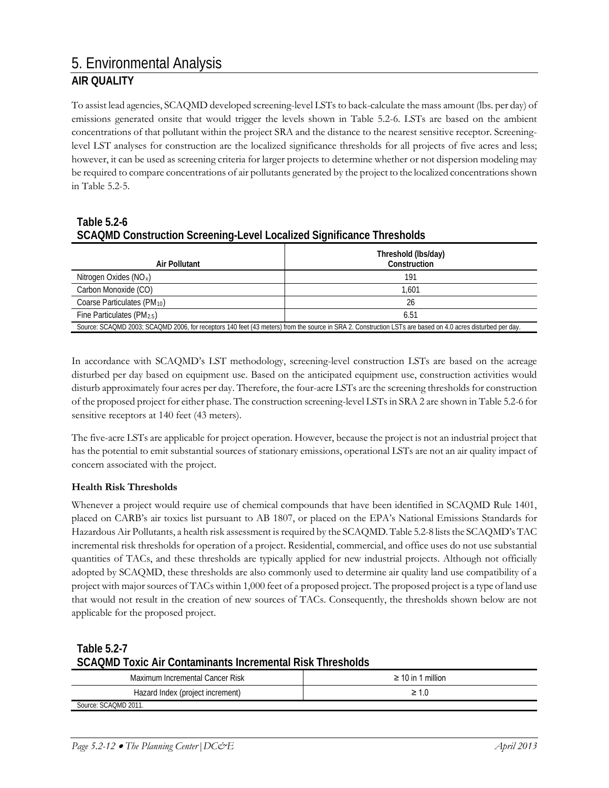To assist lead agencies, SCAQMD developed screening-level LSTs to back-calculate the mass amount (lbs. per day) of emissions generated onsite that would trigger the levels shown in Table 5.2-6. LSTs are based on the ambient concentrations of that pollutant within the project SRA and the distance to the nearest sensitive receptor. Screeninglevel LST analyses for construction are the localized significance thresholds for all projects of five acres and less; however, it can be used as screening criteria for larger projects to determine whether or not dispersion modeling may be required to compare concentrations of air pollutants generated by the project to the localized concentrations shown in Table 5.2-5.

### **Table 5.2-6 SCAQMD Construction Screening-Level Localized Significance Thresholds**

| Air Pollutant                                                                                                                                              | Threshold (lbs/day)<br>Construction |  |  |  |  |
|------------------------------------------------------------------------------------------------------------------------------------------------------------|-------------------------------------|--|--|--|--|
| Nitrogen Oxides (NO <sub>x</sub> )                                                                                                                         | 191                                 |  |  |  |  |
| Carbon Monoxide (CO)                                                                                                                                       | 1.601                               |  |  |  |  |
| Coarse Particulates (PM10)                                                                                                                                 | 26                                  |  |  |  |  |
| Fine Particulates ( $PM_{2.5}$ )                                                                                                                           | 6.51                                |  |  |  |  |
| Source: SCAQMD 2003; SCAQMD 2006, for receptors 140 feet (43 meters) from the source in SRA 2. Construction LSTs are based on 4.0 acres disturbed per day. |                                     |  |  |  |  |

In accordance with SCAQMD's LST methodology, screening-level construction LSTs are based on the acreage disturbed per day based on equipment use. Based on the anticipated equipment use, construction activities would disturb approximately four acres per day. Therefore, the four-acre LSTs are the screening thresholds for construction of the proposed project for either phase. The construction screening-level LSTs in SRA 2 are shown in Table 5.2-6 for sensitive receptors at 140 feet (43 meters).

The five-acre LSTs are applicable for project operation. However, because the project is not an industrial project that has the potential to emit substantial sources of stationary emissions, operational LSTs are not an air quality impact of concern associated with the project.

### **Health Risk Thresholds**

Whenever a project would require use of chemical compounds that have been identified in SCAQMD Rule 1401, placed on CARB's air toxics list pursuant to AB 1807, or placed on the EPA's National Emissions Standards for Hazardous Air Pollutants, a health risk assessment is required by the SCAQMD. Table 5.2-8 lists the SCAQMD's TAC incremental risk thresholds for operation of a project. Residential, commercial, and office uses do not use substantial quantities of TACs, and these thresholds are typically applied for new industrial projects. Although not officially adopted by SCAQMD, these thresholds are also commonly used to determine air quality land use compatibility of a project with major sources of TACs within 1,000 feet of a proposed project. The proposed project is a type of land use that would not result in the creation of new sources of TACs. Consequently, the thresholds shown below are not applicable for the proposed project.

### **Table 5.2-7 SCAQMD Toxic Air Contaminants Incremental Risk Thresholds**

| Maximum Incremental Cancer Risk  | $\geq 10$ in 1 million |
|----------------------------------|------------------------|
| Hazard Index (project increment) |                        |
| Source: SCAOMD 2011.             |                        |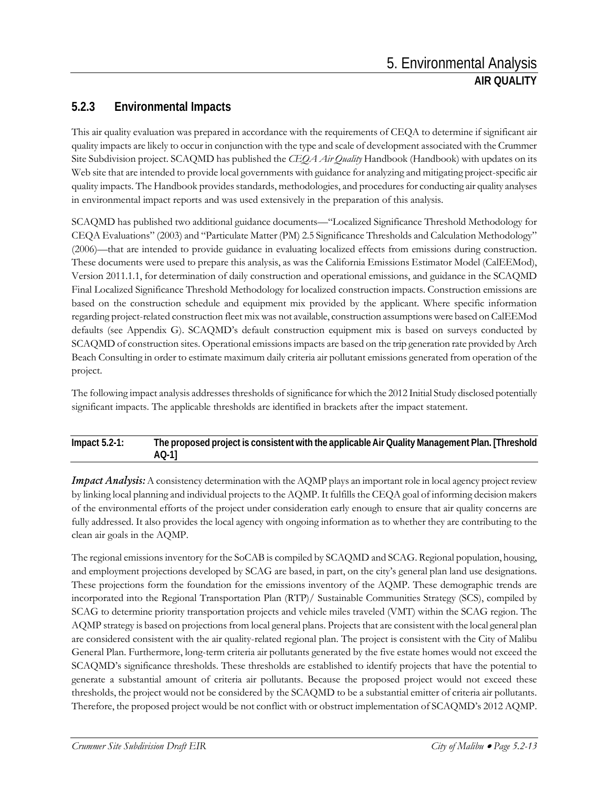# **5.2.3 Environmental Impacts**

This air quality evaluation was prepared in accordance with the requirements of CEQA to determine if significant air quality impacts are likely to occur in conjunction with the type and scale of development associated with the Crummer Site Subdivision project. SCAQMD has published the *CEQA Air Quality* Handbook (Handbook) with updates on its Web site that are intended to provide local governments with guidance for analyzing and mitigating project-specific air quality impacts. The Handbook provides standards, methodologies, and procedures for conducting air quality analyses in environmental impact reports and was used extensively in the preparation of this analysis.

SCAQMD has published two additional guidance documents—"Localized Significance Threshold Methodology for CEQA Evaluations" (2003) and "Particulate Matter (PM) 2.5 Significance Thresholds and Calculation Methodology" (2006)—that are intended to provide guidance in evaluating localized effects from emissions during construction. These documents were used to prepare this analysis, as was the California Emissions Estimator Model (CalEEMod), Version 2011.1.1, for determination of daily construction and operational emissions, and guidance in the SCAQMD Final Localized Significance Threshold Methodology for localized construction impacts. Construction emissions are based on the construction schedule and equipment mix provided by the applicant. Where specific information regarding project-related construction fleet mix was not available, construction assumptions were based on CalEEMod defaults (see Appendix G). SCAQMD's default construction equipment mix is based on surveys conducted by SCAQMD of construction sites. Operational emissions impacts are based on the trip generation rate provided by Arch Beach Consulting in order to estimate maximum daily criteria air pollutant emissions generated from operation of the project.

The following impact analysis addresses thresholds of significance for which the 2012 Initial Study disclosed potentially significant impacts. The applicable thresholds are identified in brackets after the impact statement.

#### **Impact 5.2-1: The proposed project is consistent with the applicable Air Quality Management Plan. [Threshold AQ-1]**

*Impact Analysis:* A consistency determination with the AQMP plays an important role in local agency project review by linking local planning and individual projects to the AQMP. It fulfills the CEQA goal of informing decision makers of the environmental efforts of the project under consideration early enough to ensure that air quality concerns are fully addressed. It also provides the local agency with ongoing information as to whether they are contributing to the clean air goals in the AQMP.

The regional emissions inventory for the SoCAB is compiled by SCAQMD and SCAG. Regional population, housing, and employment projections developed by SCAG are based, in part, on the city's general plan land use designations. These projections form the foundation for the emissions inventory of the AQMP. These demographic trends are incorporated into the Regional Transportation Plan (RTP)/ Sustainable Communities Strategy (SCS), compiled by SCAG to determine priority transportation projects and vehicle miles traveled (VMT) within the SCAG region. The AQMP strategy is based on projections from local general plans. Projects that are consistent with the local general plan are considered consistent with the air quality-related regional plan. The project is consistent with the City of Malibu General Plan. Furthermore, long-term criteria air pollutants generated by the five estate homes would not exceed the SCAQMD's significance thresholds. These thresholds are established to identify projects that have the potential to generate a substantial amount of criteria air pollutants. Because the proposed project would not exceed these thresholds, the project would not be considered by the SCAQMD to be a substantial emitter of criteria air pollutants. Therefore, the proposed project would be not conflict with or obstruct implementation of SCAQMD's 2012 AQMP.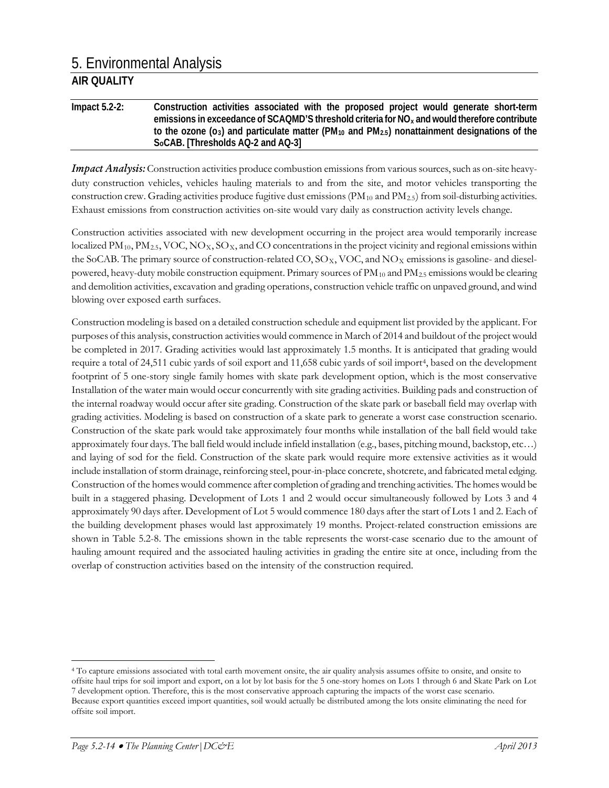**Impact 5.2-2: Construction activities associated with the proposed project would generate short-term emissions in exceedance of SCAQMD'S threshold criteria for NOx and would therefore contribute**  to the ozone (o<sub>3</sub>) and particulate matter (PM<sub>10</sub> and PM<sub>2.5</sub>) nonattainment designations of the **SoCAB. [Thresholds AQ-2 and AQ-3]**

*Impact Analysis:* Construction activities produce combustion emissions from various sources, such as on-site heavyduty construction vehicles, vehicles hauling materials to and from the site, and motor vehicles transporting the construction crew. Grading activities produce fugitive dust emissions  $(PM_{10}$  and  $PM_{2.5})$  from soil-disturbing activities. Exhaust emissions from construction activities on-site would vary daily as construction activity levels change.

Construction activities associated with new development occurring in the project area would temporarily increase localized  $PM_{10}$ ,  $PM_{2.5}$ , VOC, NO<sub>X</sub>, SO<sub>X</sub>, and CO concentrations in the project vicinity and regional emissions within the SoCAB. The primary source of construction-related CO,  $SO_{X}$ , VOC, and NO<sub>X</sub> emissions is gasoline- and dieselpowered, heavy-duty mobile construction equipment. Primary sources of  $PM_{10}$  and  $PM_{2.5}$  emissions would be clearing and demolition activities, excavation and grading operations, construction vehicle traffic on unpaved ground, and wind blowing over exposed earth surfaces.

Construction modeling is based on a detailed construction schedule and equipment list provided by the applicant. For purposes of this analysis, construction activities would commence in March of 2014 and buildout of the project would be completed in 2017. Grading activities would last approximately 1.5 months. It is anticipated that grading would require a total of 24,511 cubic yards of soil export and 11,658 cubic yards of soil import[4](#page-13-0), based on the development footprint of 5 one-story single family homes with skate park development option, which is the most conservative Installation of the water main would occur concurrently with site grading activities. Building pads and construction of the internal roadway would occur after site grading. Construction of the skate park or baseball field may overlap with grading activities. Modeling is based on construction of a skate park to generate a worst case construction scenario. Construction of the skate park would take approximately four months while installation of the ball field would take approximately four days. The ball field would include infield installation (e.g., bases, pitching mound, backstop, etc…) and laying of sod for the field. Construction of the skate park would require more extensive activities as it would include installation of storm drainage, reinforcing steel, pour-in-place concrete, shotcrete, and fabricated metal edging. Construction of the homes would commence after completion of grading and trenching activities. The homes would be built in a staggered phasing. Development of Lots 1 and 2 would occur simultaneously followed by Lots 3 and 4 approximately 90 days after. Development of Lot 5 would commence 180 days after the start of Lots 1 and 2. Each of the building development phases would last approximately 19 months. Project-related construction emissions are shown in Table 5.2-8. The emissions shown in the table represents the worst-case scenario due to the amount of hauling amount required and the associated hauling activities in grading the entire site at once, including from the overlap of construction activities based on the intensity of the construction required.

<span id="page-13-0"></span> <sup>4</sup> To capture emissions associated with total earth movement onsite, the air quality analysis assumes offsite to onsite, and onsite to offsite haul trips for soil import and export, on a lot by lot basis for the 5 one-story homes on Lots 1 through 6 and Skate Park on Lot 7 development option. Therefore, this is the most conservative approach capturing the impacts of the worst case scenario. Because export quantities exceed import quantities, soil would actually be distributed among the lots onsite eliminating the need for

offsite soil import.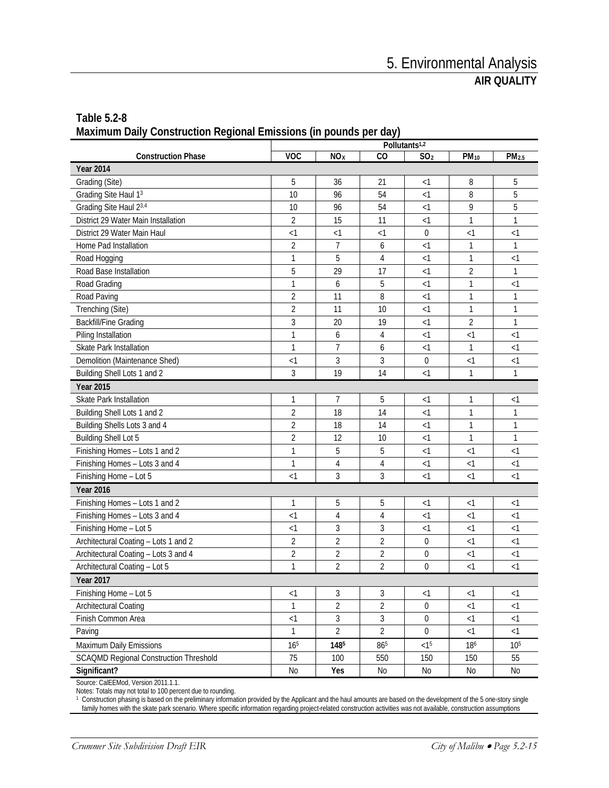| Table 5.2-8                                                       |  |  |  |
|-------------------------------------------------------------------|--|--|--|
| Maximum Daily Construction Regional Emissions (in pounds per day) |  |  |  |

|                                               | Pollutants <sup>1,2</sup> |                 |          |                  |                         |                   |
|-----------------------------------------------|---------------------------|-----------------|----------|------------------|-------------------------|-------------------|
| <b>Construction Phase</b>                     | <b>VOC</b>                | NO <sub>x</sub> | CO       | SO <sub>2</sub>  | <b>PM</b> <sub>10</sub> | PM <sub>2.5</sub> |
| <b>Year 2014</b>                              |                           |                 |          |                  |                         |                   |
| Grading (Site)                                | 5                         | 36              | 21       | $<$ 1            | 8                       | 5                 |
| Grading Site Haul 13                          | 10                        | 96              | 54       | $<$ 1            | 8                       | 5                 |
| Grading Site Haul 23,4                        | 10                        | 96              | 54       | $<$ 1            | 9                       | 5                 |
| District 29 Water Main Installation           | $\overline{2}$            | 15              | 11       | $\leq$ 1         | 1                       | 1                 |
| District 29 Water Main Haul                   | $<$ 1                     | <1              | <1       | 0                | $<$ 1                   | <1                |
| Home Pad Installation                         | $\overline{2}$            | $\overline{7}$  | 6        | $\leq$ 1         | 1                       | 1                 |
| Road Hogging                                  | $\mathbf{1}$              | 5               | 4        | $\leq$ 1         | 1                       | $<$ 1             |
| Road Base Installation                        | 5                         | 29              | 17       | $\leq$ 1         | 2                       | 1                 |
| Road Grading                                  | 1                         | 6               | 5        | <1               | 1                       | $<$ 1             |
| Road Paving                                   | $\overline{2}$            | 11              | 8        | <1               | $\mathbf{1}$            | 1                 |
| Trenching (Site)                              | $\overline{2}$            | 11              | 10       | $\leq$ 1         | 1                       | 1                 |
| <b>Backfill/Fine Grading</b>                  | 3                         | 20              | 19       | $\leq$ 1         | 2                       | 1                 |
| Piling Installation                           | 1                         | 6               | 4        | $\leq$ 1         | $\leq$ 1                | $\leq$ 1          |
| Skate Park Installation                       | $\mathbf{1}$              | $\overline{7}$  | 6        | $\leq$ 1         | 1                       | $<$ 1             |
| Demolition (Maintenance Shed)                 | $\leq$ 1                  | 3               | 3        | 0                | $\leq$ 1                | $\leq$ 1          |
| Building Shell Lots 1 and 2                   | 3                         | 19              | 14       | $<$ 1            | 1                       | 1                 |
| <b>Year 2015</b>                              |                           |                 |          |                  |                         |                   |
| Skate Park Installation                       | 1                         | $\overline{7}$  | 5        | $<$ 1            | 1                       | <1                |
| Building Shell Lots 1 and 2                   | $\overline{2}$            | 18              | 14       | $\leq$ 1         | 1                       | 1                 |
| Building Shells Lots 3 and 4                  | $\overline{2}$            | 18              | 14       | $\leq$ 1         | 1                       | 1                 |
| <b>Building Shell Lot 5</b>                   | $\overline{2}$            | 12              | 10       | $\leq$ 1         | 1                       | 1                 |
| Finishing Homes - Lots 1 and 2                | 1                         | 5               | 5        | $\leq$ 1         | $<$ 1                   | $<$ 1             |
| Finishing Homes - Lots 3 and 4                | $\mathbf{1}$              | 4               | 4        | <1               | <1                      | $<$ 1             |
| Finishing Home - Lot 5                        | $\leq$ 1                  | 3               | 3        | < 1              | $\leq$ 1                | $\leq$ 1          |
| <b>Year 2016</b>                              |                           |                 |          |                  |                         |                   |
| Finishing Homes - Lots 1 and 2                | 1                         | 5               | 5        | $<$ 1            | $<$ 1                   | $<$ 1             |
| Finishing Homes - Lots 3 and 4                | $\leq$ 1                  | $\overline{4}$  | 4        | $\leq$ 1         | $\leq$ 1                | $\leq$ 1          |
| Finishing Home - Lot 5                        | <1                        | 3               | 3        | <1               | $<$ 1                   | $<$ 1             |
| Architectural Coating - Lots 1 and 2          | $\overline{2}$            | $\overline{2}$  | 2        | $\mathbf 0$      | $<$ 1                   | $<$ 1             |
| Architectural Coating - Lots 3 and 4          | $\overline{2}$            | $\overline{2}$  | 2        | 0                | $<$ 1                   | $<$ 1             |
| Architectural Coating - Lot 5                 | $\mathbf{1}$              | $\overline{2}$  | 2        | $\boldsymbol{0}$ | $<$ 1                   | $\leq$ 1          |
| <b>Year 2017</b>                              |                           |                 |          |                  |                         |                   |
| Finishing Home - Lot 5                        | <1                        | 3               | 3        | $<1\,$           | <1                      | <1                |
| <b>Architectural Coating</b>                  | 1                         | 2               | 2        | 0                | $\leq$ 1                | $\leq$ 1          |
| Finish Common Area                            | < 1                       | $\mathfrak{Z}$  | 3        | 0                | $<\!1$                  | <1                |
| Paving                                        | 1                         | $\overline{2}$  | 2        | $\boldsymbol{0}$ | <1                      | $<1$              |
| Maximum Daily Emissions                       | 16 <sup>5</sup>           | 1485            | 865      | < 1 <sup>5</sup> | 186                     | 10 <sup>5</sup>   |
| <b>SCAQMD Regional Construction Threshold</b> | 75                        | 100             | 550      | 150              | 150                     | 55                |
| Significant?                                  | No                        | Yes             | $\rm No$ | $\rm No$         | No                      | $\rm No$          |

Source: CalEEMod, Version 2011.1.1.

Notes: Totals may not total to 100 percent due to rounding.

<sup>1</sup> Construction phasing is based on the preliminary information provided by the Applicant and the haul amounts are based on the development of the 5 one-story single family homes with the skate park scenario. Where specific information regarding project-related construction activities was not available, construction assumptions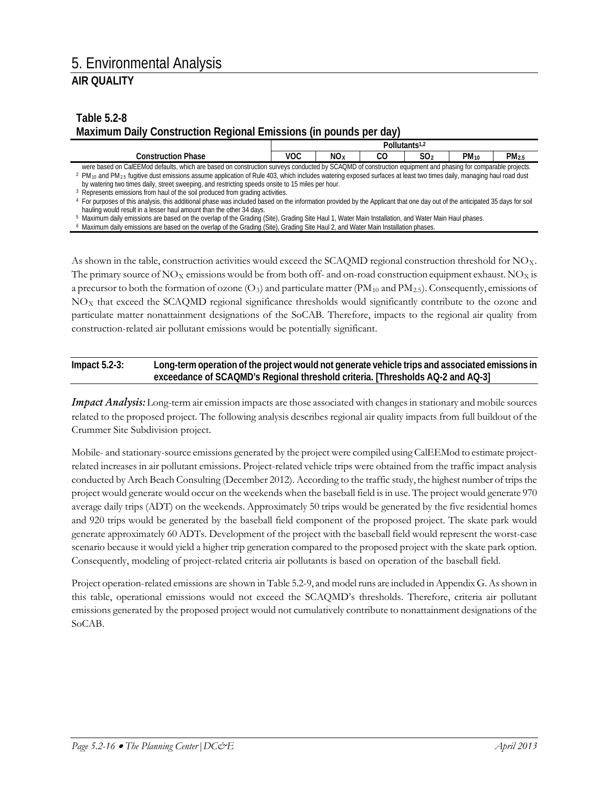### **Table 5.2-8 Maximum Daily Construction Regional Emissions (in pounds per day)**

|                                                                                                                                                                           |                                                                                                                                                                                                        | Pollutants <sup>1,2</sup> |    |                 |           |                  |  |
|---------------------------------------------------------------------------------------------------------------------------------------------------------------------------|--------------------------------------------------------------------------------------------------------------------------------------------------------------------------------------------------------|---------------------------|----|-----------------|-----------|------------------|--|
| <b>Construction Phase</b>                                                                                                                                                 | <b>VOC</b>                                                                                                                                                                                             | NO <sub>x</sub>           | CO | SO <sub>2</sub> | $PM_{10}$ | PM <sub>25</sub> |  |
| were based on CalEEMod defaults, which are based on construction surveys conducted by SCAQMD of construction equipment and phasing for comparable projects.               |                                                                                                                                                                                                        |                           |    |                 |           |                  |  |
|                                                                                                                                                                           | <sup>2</sup> PM <sub>10</sub> and PM <sub>2.5</sub> fugitive dust emissions assume application of Rule 403, which includes watering exposed surfaces at least two times daily, managing haul road dust |                           |    |                 |           |                  |  |
| by watering two times daily, street sweeping, and restricting speeds onsite to 15 miles per hour.                                                                         |                                                                                                                                                                                                        |                           |    |                 |           |                  |  |
| Represents emissions from haul of the soil produced from grading activities.                                                                                              |                                                                                                                                                                                                        |                           |    |                 |           |                  |  |
| For purposes of this analysis, this additional phase was included based on the information provided by the Applicant that one day out of the anticipated 35 days for soil |                                                                                                                                                                                                        |                           |    |                 |           |                  |  |

hauling would result in a lesser haul amount than the other 34 days. <sup>5</sup> Maximum daily emissions are based on the overlap of the Grading (Site), Grading Site Haul 1, Water Main Installation, and Water Main Haul phases.

As shown in the table, construction activities would exceed the SCAQMD regional construction threshold for NO<sub>X</sub>. The primary source of  $NO<sub>X</sub>$  emissions would be from both off- and on-road construction equipment exhaust. NO<sub>X</sub> is a precursor to both the formation of ozone  $(O_3)$  and particulate matter (PM<sub>10</sub> and PM<sub>2.5</sub>). Consequently, emissions of NO<sub>X</sub> that exceed the SCAQMD regional significance thresholds would significantly contribute to the ozone and particulate matter nonattainment designations of the SoCAB. Therefore, impacts to the regional air quality from construction-related air pollutant emissions would be potentially significant.

#### **Impact 5.2-3: Long-term operation of the project would not generate vehicle trips and associated emissions in exceedance of SCAQMD's Regional threshold criteria. [Thresholds AQ-2 and AQ-3]**

*Impact Analysis:* Long-term air emission impacts are those associated with changes in stationary and mobile sources related to the proposed project. The following analysis describes regional air quality impacts from full buildout of the Crummer Site Subdivision project.

Mobile- and stationary-source emissions generated by the project were compiled using CalEEMod to estimate projectrelated increases in air pollutant emissions. Project-related vehicle trips were obtained from the traffic impact analysis conducted by Arch Beach Consulting (December 2012). According to the traffic study, the highest number of trips the project would generate would occur on the weekends when the baseball field is in use. The project would generate 970 average daily trips (ADT) on the weekends. Approximately 50 trips would be generated by the five residential homes and 920 trips would be generated by the baseball field component of the proposed project. The skate park would generate approximately 60 ADTs. Development of the project with the baseball field would represent the worst-case scenario because it would yield a higher trip generation compared to the proposed project with the skate park option. Consequently, modeling of project-related criteria air pollutants is based on operation of the baseball field.

Project operation-related emissions are shown in Table 5.2-9, and model runs are included in Appendix G. As shown in this table, operational emissions would not exceed the SCAQMD's thresholds. Therefore, criteria air pollutant emissions generated by the proposed project would not cumulatively contribute to nonattainment designations of the SoCAB.

<sup>6</sup> Maximum daily emissions are based on the overlap of the Grading (Site), Grading Site Haul 2, and Water Main Installation phases.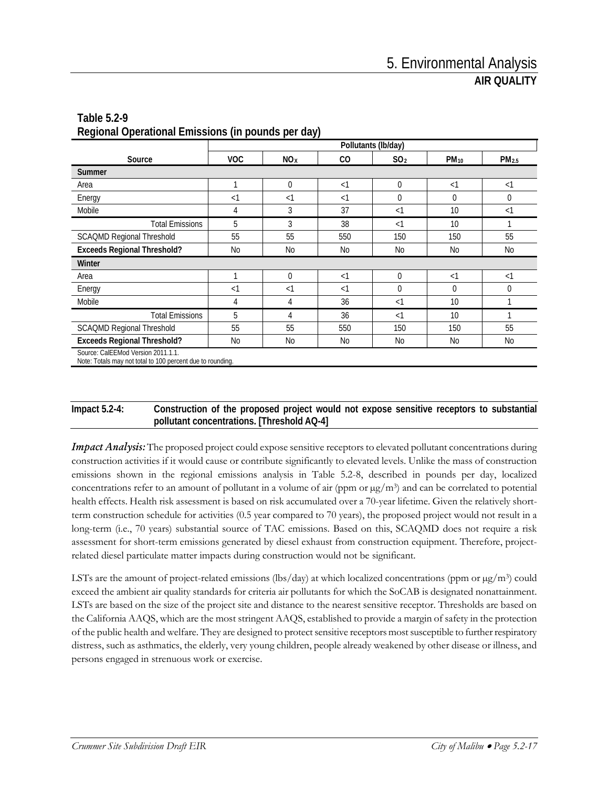|                                                                                                  | Pollutants (lb/day) |                 |          |                 |                         |                   |  |  |
|--------------------------------------------------------------------------------------------------|---------------------|-----------------|----------|-----------------|-------------------------|-------------------|--|--|
| Source                                                                                           | <b>VOC</b>          | NO <sub>X</sub> | CO       | SO <sub>2</sub> | <b>PM</b> <sub>10</sub> | PM <sub>2.5</sub> |  |  |
| <b>Summer</b>                                                                                    |                     |                 |          |                 |                         |                   |  |  |
| Area                                                                                             | 1                   | 0               | $\leq$ 1 | 0               | $\leq$ 1                | $\leq$ 1          |  |  |
| Energy                                                                                           | $\leq$ 1            | $\leq$ 1        | $\leq$ 1 | $\Omega$        | $\Omega$                | $\mathbf 0$       |  |  |
| Mobile                                                                                           | 4                   | 3               | 37       | $\leq$ 1        | 10                      | $\leq$ 1          |  |  |
| <b>Total Emissions</b>                                                                           | 5                   | 3               | 38       | $\leq$ 1        | 10                      |                   |  |  |
| <b>SCAQMD Regional Threshold</b>                                                                 | 55                  | 55              | 550      | 150             | 150                     | 55                |  |  |
| <b>Exceeds Regional Threshold?</b>                                                               | No                  | No              | No       | <b>No</b>       | No                      | No                |  |  |
| Winter                                                                                           |                     |                 |          |                 |                         |                   |  |  |
| Area                                                                                             | 1                   | $\Omega$        | $\leq$ 1 | $\Omega$        | $\leq$ 1                | $\leq$ 1          |  |  |
| Energy                                                                                           | $\leq$ 1            | $\leq$ 1        | $\leq$ 1 | $\mathbf 0$     | 0                       | $\mathbf 0$       |  |  |
| Mobile                                                                                           | 4                   | 4               | 36       | $\leq$ 1        | 10                      |                   |  |  |
| <b>Total Emissions</b>                                                                           | 5                   | 4               | 36       | $\leq$ 1        | 10                      |                   |  |  |
| <b>SCAQMD Regional Threshold</b>                                                                 | 55                  | 55              | 550      | 150             | 150                     | 55                |  |  |
| <b>Exceeds Regional Threshold?</b>                                                               | No                  | <b>No</b>       | No       | No              | No                      | No                |  |  |
| Source: CalEEMod Version 2011.1.1.<br>Note: Totals may not total to 100 percent due to rounding. |                     |                 |          |                 |                         |                   |  |  |

### **Table 5.2-9 Regional Operational Emissions (in pounds per day)**

#### **Impact 5.2-4: Construction of the proposed project would not expose sensitive receptors to substantial pollutant concentrations. [Threshold AQ-4]**

*Impact Analysis:* The proposed project could expose sensitive receptors to elevated pollutant concentrations during construction activities if it would cause or contribute significantly to elevated levels. Unlike the mass of construction emissions shown in the regional emissions analysis in Table 5.2-8, described in pounds per day, localized concentrations refer to an amount of pollutant in a volume of air (ppm or  $\mu g/m^3$ ) and can be correlated to potential health effects. Health risk assessment is based on risk accumulated over a 70-year lifetime. Given the relatively shortterm construction schedule for activities (0.5 year compared to 70 years), the proposed project would not result in a long-term (i.e., 70 years) substantial source of TAC emissions. Based on this, SCAQMD does not require a risk assessment for short-term emissions generated by diesel exhaust from construction equipment. Therefore, projectrelated diesel particulate matter impacts during construction would not be significant.

LSTs are the amount of project-related emissions (lbs/day) at which localized concentrations (ppm or  $\mu$ g/m<sup>3</sup>) could exceed the ambient air quality standards for criteria air pollutants for which the SoCAB is designated nonattainment. LSTs are based on the size of the project site and distance to the nearest sensitive receptor. Thresholds are based on the California AAQS, which are the most stringent AAQS, established to provide a margin of safety in the protection of the public health and welfare. They are designed to protect sensitive receptors most susceptible to further respiratory distress, such as asthmatics, the elderly, very young children, people already weakened by other disease or illness, and persons engaged in strenuous work or exercise.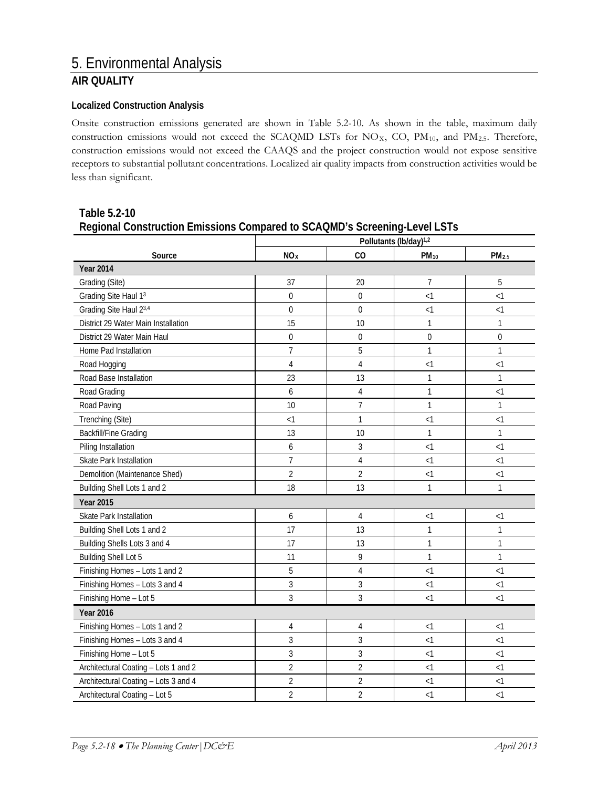# **AIR QUALITY**

#### **Localized Construction Analysis**

Onsite construction emissions generated are shown in Table 5.2-10. As shown in the table, maximum daily construction emissions would not exceed the SCAQMD LSTs for  $NO_{X}$ , CO,  $PM_{10}$ , and  $PM_{2.5}$ . Therefore, construction emissions would not exceed the CAAQS and the project construction would not expose sensitive receptors to substantial pollutant concentrations. Localized air quality impacts from construction activities would be less than significant.

|                                      | Pollutants (lb/day) <sup>1,2</sup> |                |                |              |  |  |  |
|--------------------------------------|------------------------------------|----------------|----------------|--------------|--|--|--|
| Source                               | NO <sub>x</sub>                    | CO             | $PM_{10}$      | PM2.5        |  |  |  |
| <b>Year 2014</b>                     |                                    |                |                |              |  |  |  |
| Grading (Site)                       | 37                                 | 20             | 7              | 5            |  |  |  |
| Grading Site Haul 13                 | 0                                  | $\overline{0}$ | < 1            | < 1          |  |  |  |
| Grading Site Haul 23,4               | 0                                  | 0              | < 1            | < 1          |  |  |  |
| District 29 Water Main Installation  | 15                                 | 10             | 1              | $\mathbf{1}$ |  |  |  |
| District 29 Water Main Haul          | $\overline{0}$                     | $\overline{0}$ | $\overline{0}$ | 0            |  |  |  |
| Home Pad Installation                | $\overline{7}$                     | 5              | 1              | $\mathbf{1}$ |  |  |  |
| Road Hogging                         | $\overline{4}$                     | 4              | < 1            | $\leq$ 1     |  |  |  |
| Road Base Installation               | 23                                 | 13             | 1              | $\mathbf{1}$ |  |  |  |
| Road Grading                         | 6                                  | 4              | 1              | $\leq$ 1     |  |  |  |
| Road Paving                          | 10                                 | $\overline{7}$ | 1              | $\mathbf{1}$ |  |  |  |
| Trenching (Site)                     | < 1                                | 1              | < 1            | <1           |  |  |  |
| <b>Backfill/Fine Grading</b>         | 13                                 | 10             | 1              | $\mathbf{1}$ |  |  |  |
| Piling Installation                  | 6                                  | 3              | $\leq$ 1       | $\leq$ 1     |  |  |  |
| Skate Park Installation              | $\overline{7}$                     | 4              | <1             | $\leq$ 1     |  |  |  |
| Demolition (Maintenance Shed)        | $\overline{2}$                     | 2              | <1             | $\leq$ 1     |  |  |  |
| Building Shell Lots 1 and 2          | 18                                 | 13             | 1              | $\mathbf{1}$ |  |  |  |
| <b>Year 2015</b>                     |                                    |                |                |              |  |  |  |
| Skate Park Installation              | 6                                  | 4              | $<$ 1          | <1           |  |  |  |
| Building Shell Lots 1 and 2          | 17                                 | 13             | 1              | $\mathbf{1}$ |  |  |  |
| Building Shells Lots 3 and 4         | 17                                 | 13             | 1              | $\mathbf{1}$ |  |  |  |
| <b>Building Shell Lot 5</b>          | 11                                 | 9              | 1              | $\mathbf{1}$ |  |  |  |
| Finishing Homes - Lots 1 and 2       | 5                                  | $\sqrt{4}$     | <1             | $\leq$ 1     |  |  |  |
| Finishing Homes - Lots 3 and 4       | 3                                  | 3              | $\leq$ 1       | $\leq$ 1     |  |  |  |
| Finishing Home - Lot 5               | 3                                  | 3              | $\leq$ 1       | $\leq$ 1     |  |  |  |
| <b>Year 2016</b>                     |                                    |                |                |              |  |  |  |
| Finishing Homes - Lots 1 and 2       | 4                                  | 4              | $<$ 1          | <1           |  |  |  |
| Finishing Homes - Lots 3 and 4       | 3                                  | 3              | <1             | $\leq$ 1     |  |  |  |
| Finishing Home - Lot 5               | 3                                  | 3              | <1             | $\leq$ 1     |  |  |  |
| Architectural Coating - Lots 1 and 2 | $\overline{2}$                     | 2              | $<$ 1          | <1           |  |  |  |
| Architectural Coating - Lots 3 and 4 | $\overline{2}$                     | 2              | $<$ 1          | $\leq$ 1     |  |  |  |
| Architectural Coating - Lot 5        | $\overline{2}$                     | $\overline{2}$ | $\leq$ 1       | $\leq$ 1     |  |  |  |

**Table 5.2-10 Regional Construction Emissions Compared to SCAQMD's Screening-Level LSTs**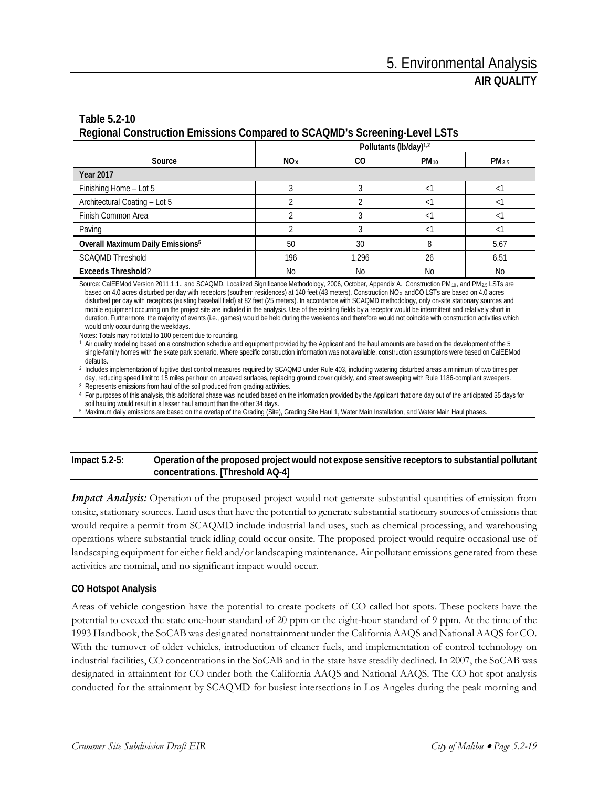### **Table 5.2-10 Regional Construction Emissions Compared to SCAQMD's Screening-Level LSTs**

|                                              | Pollutants (lb/day) <sup>1,2</sup> |       |           |                   |  |  |  |
|----------------------------------------------|------------------------------------|-------|-----------|-------------------|--|--|--|
| Source                                       | NO <sub>x</sub>                    | CO.   | $PM_{10}$ | PM <sub>2.5</sub> |  |  |  |
| <b>Year 2017</b>                             |                                    |       |           |                   |  |  |  |
| Finishing Home - Lot 5                       |                                    |       |           |                   |  |  |  |
| Architectural Coating - Lot 5                |                                    |       |           |                   |  |  |  |
| Finish Common Area                           |                                    |       |           |                   |  |  |  |
| Paving                                       |                                    |       |           |                   |  |  |  |
| Overall Maximum Daily Emissions <sup>5</sup> | 50                                 | 30    | 8         | 5.67              |  |  |  |
| <b>SCAQMD Threshold</b>                      | 196                                | 1.296 | 26        | 6.51              |  |  |  |
| <b>Exceeds Threshold?</b>                    | No                                 | No    | No        | <b>No</b>         |  |  |  |

Source: CalEEMod Version 2011.1.1., and SCAQMD, Localized Significance Methodology, 2006, October, Appendix A. Construction PM<sub>10</sub>, and PM<sub>2.5</sub> LSTs are based on 4.0 acres disturbed per day with receptors (southern residences) at 140 feet (43 meters). Construction NOX andCO LSTs are based on 4.0 acres disturbed per day with receptors (existing baseball field) at 82 feet (25 meters). In accordance with SCAQMD methodology, only on-site stationary sources and mobile equipment occurring on the project site are included in the analysis. Use of the existing fields by a receptor would be intermittent and relatively short in duration. Furthermore, the majority of events (i.e., games) would be held during the weekends and therefore would not coincide with construction activities which would only occur during the weekdays.

Notes: Totals may not total to 100 percent due to rounding.

<sup>1</sup> Air quality modeling based on a construction schedule and equipment provided by the Applicant and the haul amounts are based on the development of the 5 single-family homes with the skate park scenario. Where specific construction information was not available, construction assumptions were based on CalEEMod defaults.

<sup>2</sup> Includes implementation of fugitive dust control measures required by SCAQMD under Rule 403, including watering disturbed areas a minimum of two times per<br>day, reducing speed limit to 15 miles per hour on unpaved surfa

<sup>3</sup> Represents emissions from haul of the soil produced from grading activities.<br><sup>4</sup> For purposes of this analysis, this additional phase was included based on the information provided by the Applicant that one day out of soil hauling would result in a lesser haul amount than the other 34 days.

<sup>5</sup> Maximum daily emissions are based on the overlap of the Grading (Site), Grading Site Haul 1, Water Main Installation, and Water Main Haul phases.

#### **Impact 5.2-5: Operation of the proposed project would not expose sensitive receptors to substantial pollutant concentrations. [Threshold AQ-4]**

*Impact Analysis:* Operation of the proposed project would not generate substantial quantities of emission from onsite, stationary sources. Land uses that have the potential to generate substantial stationary sources of emissions that would require a permit from SCAQMD include industrial land uses, such as chemical processing, and warehousing operations where substantial truck idling could occur onsite. The proposed project would require occasional use of landscaping equipment for either field and/or landscaping maintenance. Air pollutant emissions generated from these activities are nominal, and no significant impact would occur.

#### **CO Hotspot Analysis**

Areas of vehicle congestion have the potential to create pockets of CO called hot spots. These pockets have the potential to exceed the state one-hour standard of 20 ppm or the eight-hour standard of 9 ppm. At the time of the 1993 Handbook, the SoCAB was designated nonattainment under the California AAQS and National AAQS for CO. With the turnover of older vehicles, introduction of cleaner fuels, and implementation of control technology on industrial facilities, CO concentrations in the SoCAB and in the state have steadily declined. In 2007, the SoCAB was designated in attainment for CO under both the California AAQS and National AAQS. The CO hot spot analysis conducted for the attainment by SCAQMD for busiest intersections in Los Angeles during the peak morning and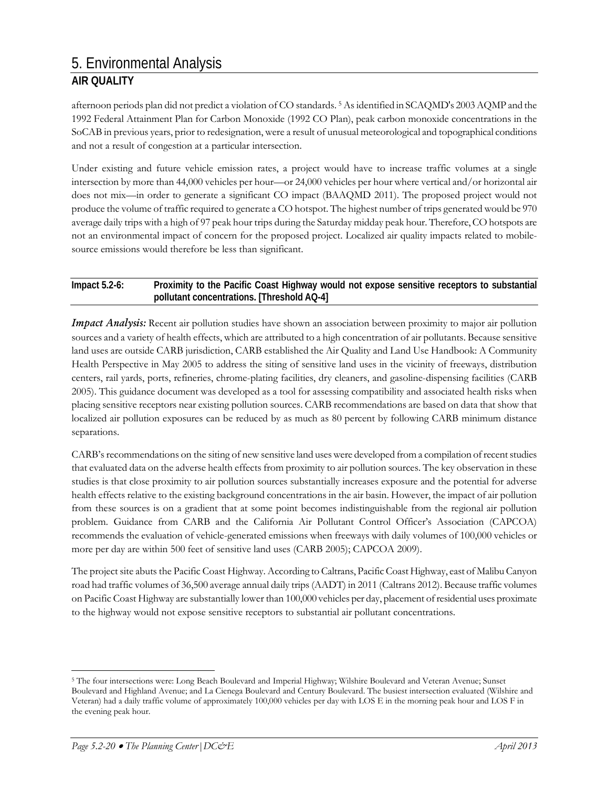# 5. Environmental Analysis

## **AIR QUALITY**

afternoon periods plan did not predict a violation of CO standards. [5](#page-19-0) As identified in SCAQMD's 2003 AQMP and the 1992 Federal Attainment Plan for Carbon Monoxide (1992 CO Plan), peak carbon monoxide concentrations in the SoCAB in previous years, prior to redesignation, were a result of unusual meteorological and topographical conditions and not a result of congestion at a particular intersection.

Under existing and future vehicle emission rates, a project would have to increase traffic volumes at a single intersection by more than 44,000 vehicles per hour—or 24,000 vehicles per hour where vertical and/or horizontal air does not mix—in order to generate a significant CO impact (BAAQMD 2011). The proposed project would not produce the volume of traffic required to generate a CO hotspot. The highest number of trips generated would be 970 average daily trips with a high of 97 peak hour trips during the Saturday midday peak hour. Therefore, CO hotspots are not an environmental impact of concern for the proposed project. Localized air quality impacts related to mobilesource emissions would therefore be less than significant.

#### **Impact 5.2-6: Proximity to the Pacific Coast Highway would not expose sensitive receptors to substantial pollutant concentrations. [Threshold AQ-4]**

*Impact Analysis:* Recent air pollution studies have shown an association between proximity to major air pollution sources and a variety of health effects, which are attributed to a high concentration of air pollutants. Because sensitive land uses are outside CARB jurisdiction, CARB established the Air Quality and Land Use Handbook: A Community Health Perspective in May 2005 to address the siting of sensitive land uses in the vicinity of freeways, distribution centers, rail yards, ports, refineries, chrome-plating facilities, dry cleaners, and gasoline-dispensing facilities (CARB 2005). This guidance document was developed as a tool for assessing compatibility and associated health risks when placing sensitive receptors near existing pollution sources. CARB recommendations are based on data that show that localized air pollution exposures can be reduced by as much as 80 percent by following CARB minimum distance separations.

CARB's recommendations on the siting of new sensitive land uses were developed from a compilation of recent studies that evaluated data on the adverse health effects from proximity to air pollution sources. The key observation in these studies is that close proximity to air pollution sources substantially increases exposure and the potential for adverse health effects relative to the existing background concentrations in the air basin. However, the impact of air pollution from these sources is on a gradient that at some point becomes indistinguishable from the regional air pollution problem. Guidance from CARB and the California Air Pollutant Control Officer's Association (CAPCOA) recommends the evaluation of vehicle-generated emissions when freeways with daily volumes of 100,000 vehicles or more per day are within 500 feet of sensitive land uses (CARB 2005); CAPCOA 2009).

The project site abuts the Pacific Coast Highway. According to Caltrans, Pacific Coast Highway, east of Malibu Canyon road had traffic volumes of 36,500 average annual daily trips (AADT) in 2011 (Caltrans 2012). Because traffic volumes on Pacific Coast Highway are substantially lower than 100,000 vehicles per day, placement of residential uses proximate to the highway would not expose sensitive receptors to substantial air pollutant concentrations.

<span id="page-19-0"></span> <sup>5</sup> The four intersections were: Long Beach Boulevard and Imperial Highway; Wilshire Boulevard and Veteran Avenue; Sunset Boulevard and Highland Avenue; and La Cienega Boulevard and Century Boulevard. The busiest intersection evaluated (Wilshire and Veteran) had a daily traffic volume of approximately 100,000 vehicles per day with LOS E in the morning peak hour and LOS F in the evening peak hour.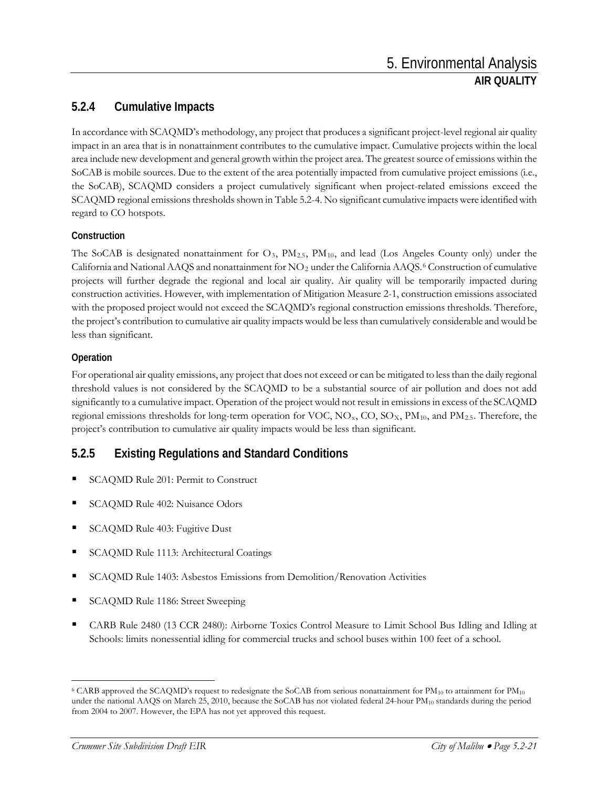### **5.2.4 Cumulative Impacts**

In accordance with SCAQMD's methodology, any project that produces a significant project-level regional air quality impact in an area that is in nonattainment contributes to the cumulative impact. Cumulative projects within the local area include new development and general growth within the project area. The greatest source of emissions within the SoCAB is mobile sources. Due to the extent of the area potentially impacted from cumulative project emissions (i.e., the SoCAB), SCAQMD considers a project cumulatively significant when project-related emissions exceed the SCAQMD regional emissions thresholds shown in Table 5.2-4. No significant cumulative impacts were identified with regard to CO hotspots.

### **Construction**

The SoCAB is designated nonattainment for  $O_3$ ,  $PM_{2.5}$ ,  $PM_{10}$ , and lead (Los Angeles County only) under the California and National AAQS and nonattainment for NO<sub>2</sub> under the California AAQS.<sup>[6](#page-20-0)</sup> Construction of cumulative projects will further degrade the regional and local air quality. Air quality will be temporarily impacted during construction activities. However, with implementation of Mitigation Measure 2-1, construction emissions associated with the proposed project would not exceed the SCAQMD's regional construction emissions thresholds. Therefore, the project's contribution to cumulative air quality impacts would be less than cumulatively considerable and would be less than significant.

### **Operation**

For operational air quality emissions, any project that does not exceed or can be mitigated to less than the daily regional threshold values is not considered by the SCAQMD to be a substantial source of air pollution and does not add significantly to a cumulative impact. Operation of the project would not result in emissions in excess of the SCAQMD regional emissions thresholds for long-term operation for VOC, NO<sub>x</sub>, CO, SO<sub>X</sub>, PM<sub>10</sub>, and PM<sub>2.5</sub>. Therefore, the project's contribution to cumulative air quality impacts would be less than significant.

# **5.2.5 Existing Regulations and Standard Conditions**

- SCAQMD Rule 201: Permit to Construct
- SCAQMD Rule 402: Nuisance Odors
- SCAQMD Rule 403: Fugitive Dust
- SCAQMD Rule 1113: Architectural Coatings
- SCAQMD Rule 1403: Asbestos Emissions from Demolition/Renovation Activities
- SCAQMD Rule 1186: Street Sweeping
- CARB Rule 2480 (13 CCR 2480): Airborne Toxics Control Measure to Limit School Bus Idling and Idling at Schools: limits nonessential idling for commercial trucks and school buses within 100 feet of a school.

<span id="page-20-0"></span> $6$  CARB approved the SCAQMD's request to redesignate the SoCAB from serious nonattainment for  $PM_{10}$  to attainment for  $PM_{10}$ under the national AAQS on March 25, 2010, because the SoCAB has not violated federal 24-hour PM<sub>10</sub> standards during the period from 2004 to 2007. However, the EPA has not yet approved this request.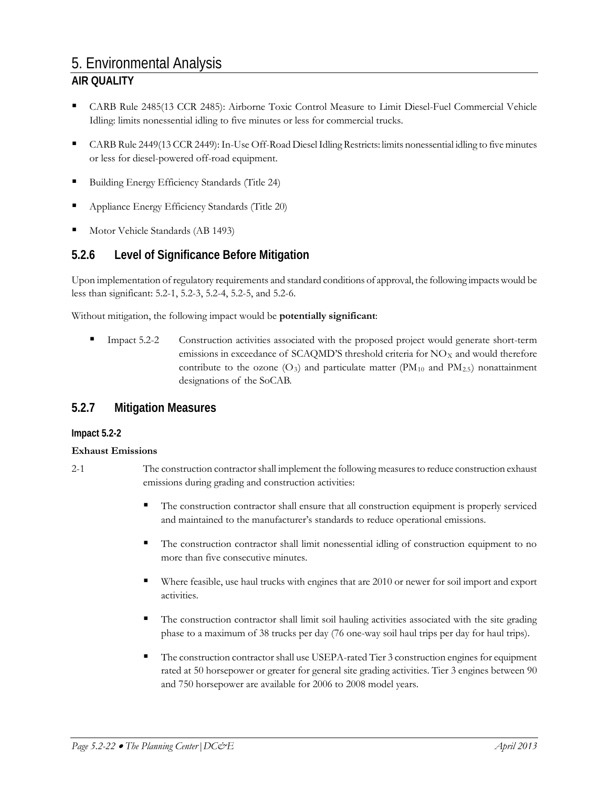# 5. Environmental Analysis

### **AIR QUALITY**

- CARB Rule 2485(13 CCR 2485): Airborne Toxic Control Measure to Limit Diesel-Fuel Commercial Vehicle Idling: limits nonessential idling to five minutes or less for commercial trucks.
- CARB Rule 2449(13 CCR 2449): In-Use Off-Road Diesel Idling Restricts: limits nonessential idling to five minutes or less for diesel-powered off-road equipment.
- Building Energy Efficiency Standards (Title 24)
- Appliance Energy Efficiency Standards (Title 20)
- Motor Vehicle Standards (AB 1493)

### **5.2.6 Level of Significance Before Mitigation**

Upon implementation of regulatory requirements and standard conditions of approval, the following impacts would be less than significant: 5.2-1, 5.2-3, 5.2-4, 5.2-5, and 5.2-6.

Without mitigation, the following impact would be **potentially significant**:

 Impact 5.2-2 Construction activities associated with the proposed project would generate short-term emissions in exceedance of SCAQMD'S threshold criteria for  $NO<sub>X</sub>$  and would therefore contribute to the ozone  $(O_3)$  and particulate matter (PM<sub>10</sub> and PM<sub>2.5</sub>) nonattainment designations of the SoCAB.

### **5.2.7 Mitigation Measures**

### **Impact 5.2-2**

### **Exhaust Emissions**

- 2-1 The construction contractor shall implement the following measures to reduce construction exhaust emissions during grading and construction activities:
	- The construction contractor shall ensure that all construction equipment is properly serviced and maintained to the manufacturer's standards to reduce operational emissions.
	- The construction contractor shall limit nonessential idling of construction equipment to no more than five consecutive minutes.
	- Where feasible, use haul trucks with engines that are 2010 or newer for soil import and export activities.
	- The construction contractor shall limit soil hauling activities associated with the site grading phase to a maximum of 38 trucks per day (76 one-way soil haul trips per day for haul trips).
	- The construction contractor shall use USEPA-rated Tier 3 construction engines for equipment rated at 50 horsepower or greater for general site grading activities. Tier 3 engines between 90 and 750 horsepower are available for 2006 to 2008 model years.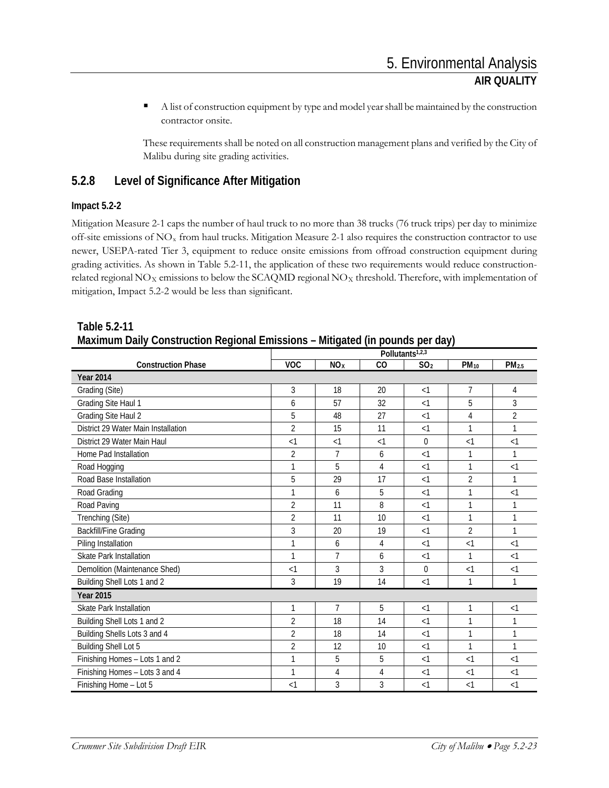A list of construction equipment by type and model year shall be maintained by the construction contractor onsite.

These requirements shall be noted on all construction management plans and verified by the City of Malibu during site grading activities.

### **5.2.8 Level of Significance After Mitigation**

### **Impact 5.2-2**

Mitigation Measure 2-1 caps the number of haul truck to no more than 38 trucks (76 truck trips) per day to minimize off-site emissions of  $NO<sub>x</sub>$  from haul trucks. Mitigation Measure 2-1 also requires the construction contractor to use newer, USEPA-rated Tier 3, equipment to reduce onsite emissions from offroad construction equipment during grading activities. As shown in Table 5.2-11, the application of these two requirements would reduce constructionrelated regional  $NO<sub>X</sub>$  emissions to below the SCAQMD regional  $NO<sub>X</sub>$  threshold. Therefore, with implementation of mitigation, Impact 5.2-2 would be less than significant.

|                                     | ,,<br>Pollutants <sup>1,2,3</sup> |                 |          |                 |                |                   |  |
|-------------------------------------|-----------------------------------|-----------------|----------|-----------------|----------------|-------------------|--|
| <b>Construction Phase</b>           | <b>VOC</b>                        | NO <sub>X</sub> | CO       | SO <sub>2</sub> | $PM_{10}$      | PM <sub>2.5</sub> |  |
| <b>Year 2014</b>                    |                                   |                 |          |                 |                |                   |  |
| Grading (Site)                      | 3                                 | 18              | 20       | <1              | $\overline{7}$ | 4                 |  |
| Grading Site Haul 1                 | 6                                 | 57              | 32       | <1              | 5              | 3                 |  |
| Grading Site Haul 2                 | 5                                 | 48              | 27       | $\leq$ 1        | 4              | $\overline{2}$    |  |
| District 29 Water Main Installation | $\overline{2}$                    | 15              | 11       | <1              | 1              | 1                 |  |
| District 29 Water Main Haul         | $\leq$ 1                          | $\leq$ 1        | $\leq$ 1 | $\theta$        | $\leq$ 1       | $\leq$ 1          |  |
| Home Pad Installation               | 2                                 | 7               | 6        | $\leq$ 1        | 1              | 1                 |  |
| Road Hogging                        | 1                                 | 5               | 4        | <1              | 1              | $\leq$ 1          |  |
| Road Base Installation              | 5                                 | 29              | 17       | <1              | $\overline{2}$ |                   |  |
| Road Grading                        | 1                                 | 6               | 5        | $\leq$ 1        | 1              | $\leq$ 1          |  |
| Road Paving                         | $\overline{2}$                    | 11              | 8        | $\leq$ 1        | 1              | 1                 |  |
| Trenching (Site)                    | $\overline{2}$                    | 11              | 10       | $\leq$ 1        | 1              |                   |  |
| <b>Backfill/Fine Grading</b>        | 3                                 | 20              | 19       | $\leq$ 1        | $\overline{2}$ | $\mathbf{1}$      |  |
| Piling Installation                 | 1                                 | 6               | 4        | <1              | $\leq$ 1       | $\leq$ 1          |  |
| <b>Skate Park Installation</b>      | 1                                 | 7               | 6        | <1              | 1              | $\leq$ 1          |  |
| Demolition (Maintenance Shed)       | $\leq$ 1                          | 3               | 3        | $\Omega$        | $\leq$ 1       | $\leq$ 1          |  |
| Building Shell Lots 1 and 2         | 3                                 | 19              | 14       | $\leq$ 1        | 1              | $\mathbf{1}$      |  |
| <b>Year 2015</b>                    |                                   |                 |          |                 |                |                   |  |
| Skate Park Installation             | 1                                 | $\overline{7}$  | 5        | <1              | $\mathbf{1}$   | $\leq$ 1          |  |
| Building Shell Lots 1 and 2         | $\overline{2}$                    | 18              | 14       | <1              | 1              | 1                 |  |
| Building Shells Lots 3 and 4        | $\overline{2}$                    | 18              | 14       | $<$ 1           | 1              | 1                 |  |
| <b>Building Shell Lot 5</b>         | $\overline{2}$                    | 12              | 10       | $\leq$ 1        | 1              | $\mathbf{1}$      |  |
| Finishing Homes - Lots 1 and 2      | 1                                 | 5               | 5        | $\leq$ 1        | $\leq$ 1       | $\leq$ 1          |  |
| Finishing Homes - Lots 3 and 4      | 1                                 | 4               | 4        | $\leq$ 1        | $<$ 1          | $\leq$ 1          |  |
| Finishing Home - Lot 5              | <1                                | 3               | 3        | $\leq$ 1        | $\leq$ 1       | $\leq$ 1          |  |

### **Table 5.2-11 Maximum Daily Construction Regional Emissions – Mitigated (in pounds per day)**